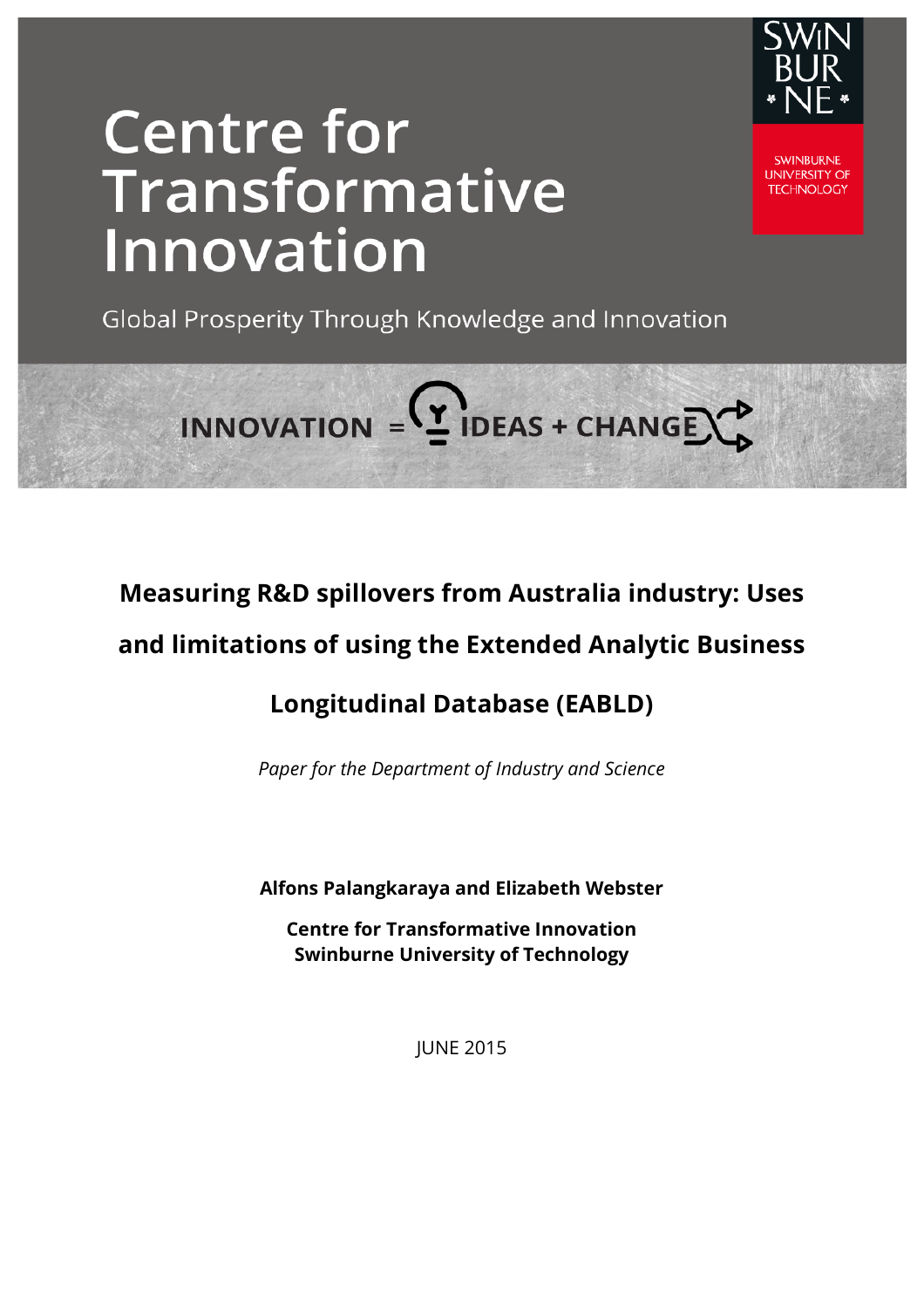

# **Centre for Transformative** Innovation

**SWINBLIRNE UNIVERSITY OF TECHNOLOGY** 

Global Prosperity Through Knowledge and Innovation

# **Measuring R&D spillovers from Australia industry: Uses**

INNOVATION =  $2$  IDEAS + CHANGE  $\rightarrow$ 

## **and limitations of using the Extended Analytic Business**

## **Longitudinal Database (EABLD)**

*Paper for the Department of Industry and Science* 

**Alfons Palangkaraya and Elizabeth Webster** 

**Centre for Transformative Innovation Swinburne University of Technology** 

JUNE 2015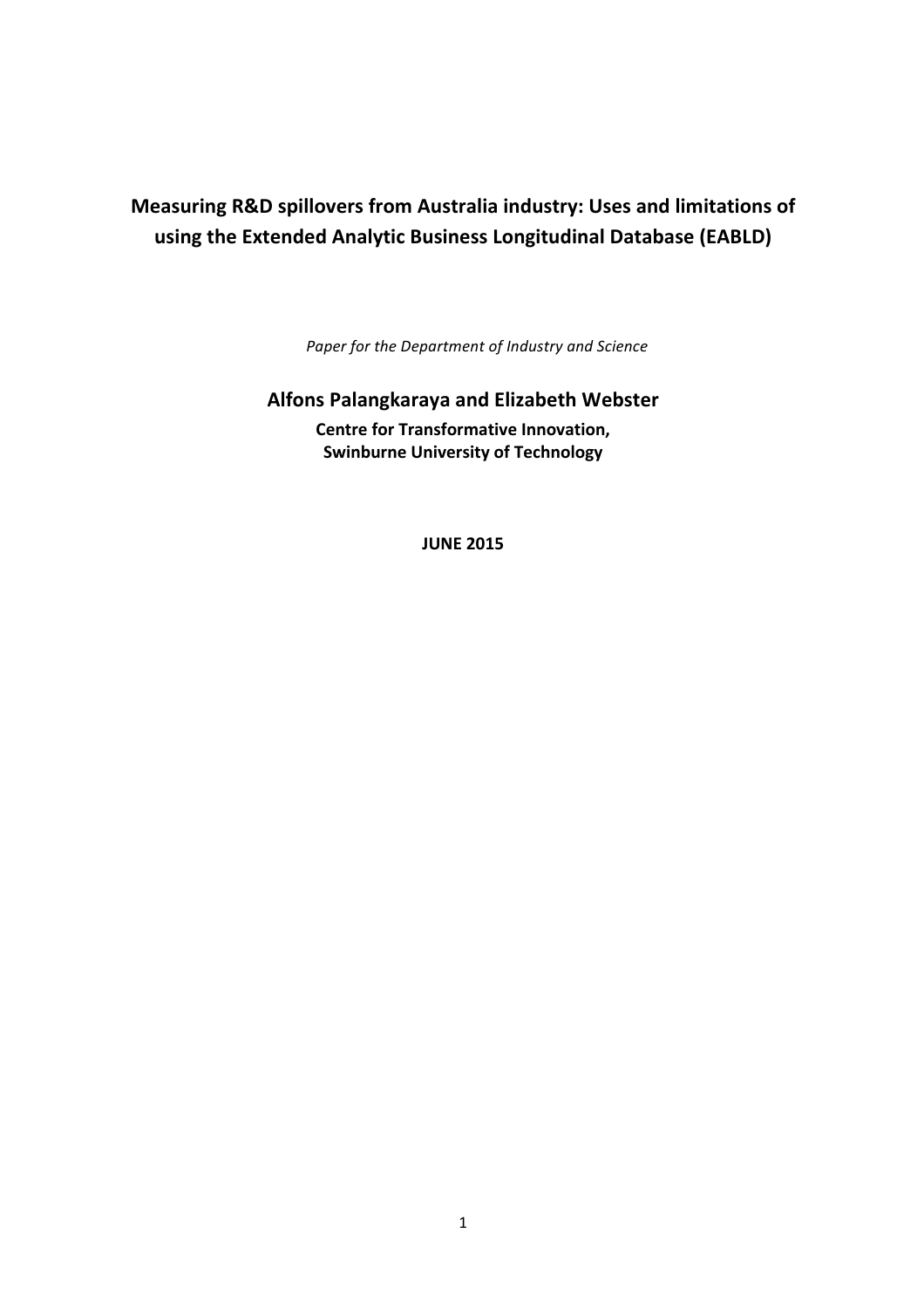## **Measuring R&D spillovers from Australia industry: Uses and limitations of using the Extended Analytic Business Longitudinal Database (EABLD)**

Paper for the Department of Industry and Science

### **Alfons Palangkaraya and Elizabeth Webster Centre for Transformative Innovation, Swinburne University of Technology**

**JUNE 2015**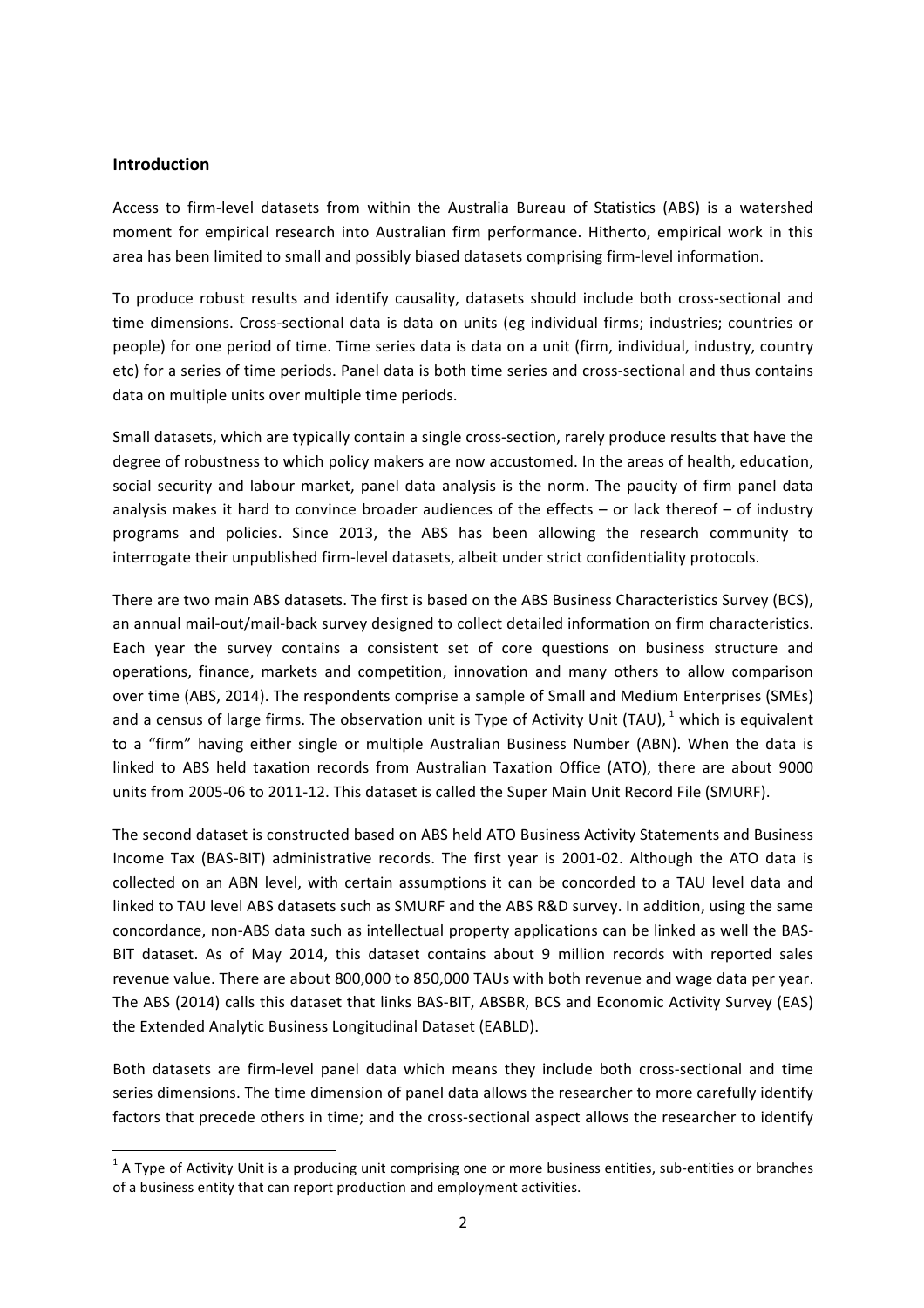#### **Introduction**

Access to firm-level datasets from within the Australia Bureau of Statistics (ABS) is a watershed moment for empirical research into Australian firm performance. Hitherto, empirical work in this area has been limited to small and possibly biased datasets comprising firm-level information.

To produce robust results and identify causality, datasets should include both cross-sectional and time dimensions. Cross-sectional data is data on units (eg individual firms; industries; countries or people) for one period of time. Time series data is data on a unit (firm, individual, industry, country etc) for a series of time periods. Panel data is both time series and cross-sectional and thus contains data on multiple units over multiple time periods.

Small datasets, which are typically contain a single cross-section, rarely produce results that have the degree of robustness to which policy makers are now accustomed. In the areas of health, education, social security and labour market, panel data analysis is the norm. The paucity of firm panel data analysis makes it hard to convince broader audiences of the effects  $-$  or lack thereof  $-$  of industry programs and policies. Since 2013, the ABS has been allowing the research community to interrogate their unpublished firm-level datasets, albeit under strict confidentiality protocols.

There are two main ABS datasets. The first is based on the ABS Business Characteristics Survey (BCS), an annual mail-out/mail-back survey designed to collect detailed information on firm characteristics. Each year the survey contains a consistent set of core questions on business structure and operations, finance, markets and competition, innovation and many others to allow comparison over time (ABS, 2014). The respondents comprise a sample of Small and Medium Enterprises (SMEs) and a census of large firms. The observation unit is Type of Activity Unit (TAU), <sup>1</sup> which is equivalent to a "firm" having either single or multiple Australian Business Number (ABN). When the data is linked to ABS held taxation records from Australian Taxation Office (ATO), there are about 9000 units from 2005-06 to 2011-12. This dataset is called the Super Main Unit Record File (SMURF).

The second dataset is constructed based on ABS held ATO Business Activity Statements and Business Income Tax (BAS-BIT) administrative records. The first year is 2001-02. Although the ATO data is collected on an ABN level, with certain assumptions it can be concorded to a TAU level data and linked to TAU level ABS datasets such as SMURF and the ABS R&D survey. In addition, using the same concordance, non-ABS data such as intellectual property applications can be linked as well the BAS-BIT dataset. As of May 2014, this dataset contains about 9 million records with reported sales revenue value. There are about 800,000 to 850,000 TAUs with both revenue and wage data per year. The ABS (2014) calls this dataset that links BAS-BIT, ABSBR, BCS and Economic Activity Survey (EAS) the Extended Analytic Business Longitudinal Dataset (EABLD).

Both datasets are firm-level panel data which means they include both cross-sectional and time series dimensions. The time dimension of panel data allows the researcher to more carefully identify factors that precede others in time; and the cross-sectional aspect allows the researcher to identify

 $<sup>1</sup>$  A Type of Activity Unit is a producing unit comprising one or more business entities, sub-entities or branches</sup> of a business entity that can report production and employment activities.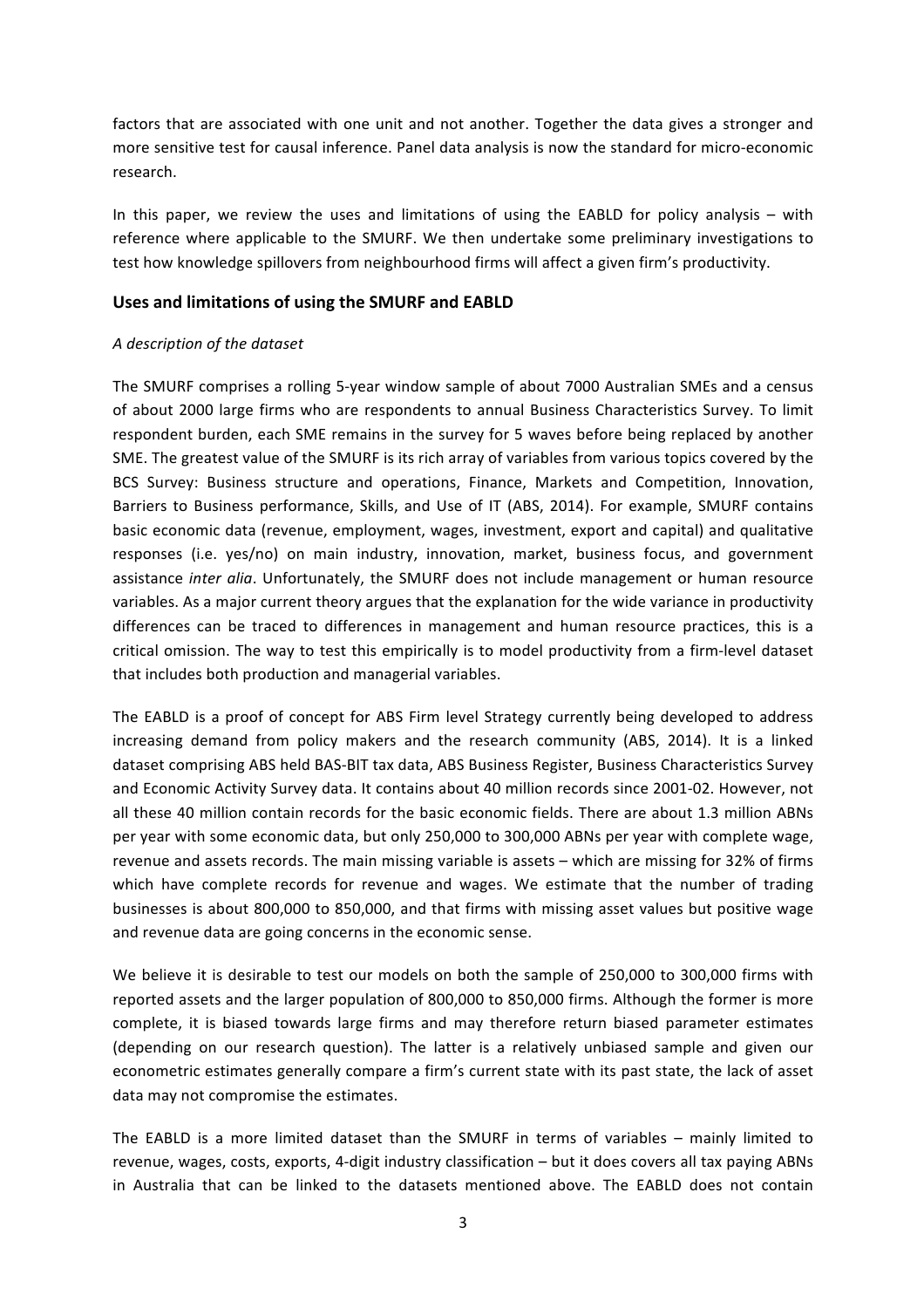factors that are associated with one unit and not another. Together the data gives a stronger and more sensitive test for causal inference. Panel data analysis is now the standard for micro-economic research. 

In this paper, we review the uses and limitations of using the EABLD for policy analysis  $-$  with reference where applicable to the SMURF. We then undertake some preliminary investigations to test how knowledge spillovers from neighbourhood firms will affect a given firm's productivity.

#### **Uses and limitations of using the SMURF and EABLD**

#### *A description of the dataset*

The SMURF comprises a rolling 5-year window sample of about 7000 Australian SMEs and a census of about 2000 large firms who are respondents to annual Business Characteristics Survey. To limit respondent burden, each SME remains in the survey for 5 waves before being replaced by another SME. The greatest value of the SMURF is its rich array of variables from various topics covered by the BCS Survey: Business structure and operations, Finance, Markets and Competition, Innovation, Barriers to Business performance, Skills, and Use of IT (ABS, 2014). For example, SMURF contains basic economic data (revenue, employment, wages, investment, export and capital) and qualitative responses (i.e. yes/no) on main industry, innovation, market, business focus, and government assistance *inter alia*. Unfortunately, the SMURF does not include management or human resource variables. As a major current theory argues that the explanation for the wide variance in productivity differences can be traced to differences in management and human resource practices, this is a critical omission. The way to test this empirically is to model productivity from a firm-level dataset that includes both production and managerial variables.

The EABLD is a proof of concept for ABS Firm level Strategy currently being developed to address increasing demand from policy makers and the research community (ABS, 2014). It is a linked dataset comprising ABS held BAS-BIT tax data, ABS Business Register, Business Characteristics Survey and Economic Activity Survey data. It contains about 40 million records since 2001-02. However, not all these 40 million contain records for the basic economic fields. There are about 1.3 million ABNs per year with some economic data, but only 250,000 to 300,000 ABNs per year with complete wage, revenue and assets records. The main missing variable is assets – which are missing for 32% of firms which have complete records for revenue and wages. We estimate that the number of trading businesses is about 800,000 to 850,000, and that firms with missing asset values but positive wage and revenue data are going concerns in the economic sense.

We believe it is desirable to test our models on both the sample of 250,000 to 300,000 firms with reported assets and the larger population of 800,000 to 850,000 firms. Although the former is more complete, it is biased towards large firms and may therefore return biased parameter estimates (depending on our research question). The latter is a relatively unbiased sample and given our econometric estimates generally compare a firm's current state with its past state, the lack of asset data may not compromise the estimates.

The EABLD is a more limited dataset than the SMURF in terms of variables  $-$  mainly limited to revenue, wages, costs, exports, 4-digit industry classification – but it does covers all tax paying ABNs in Australia that can be linked to the datasets mentioned above. The EABLD does not contain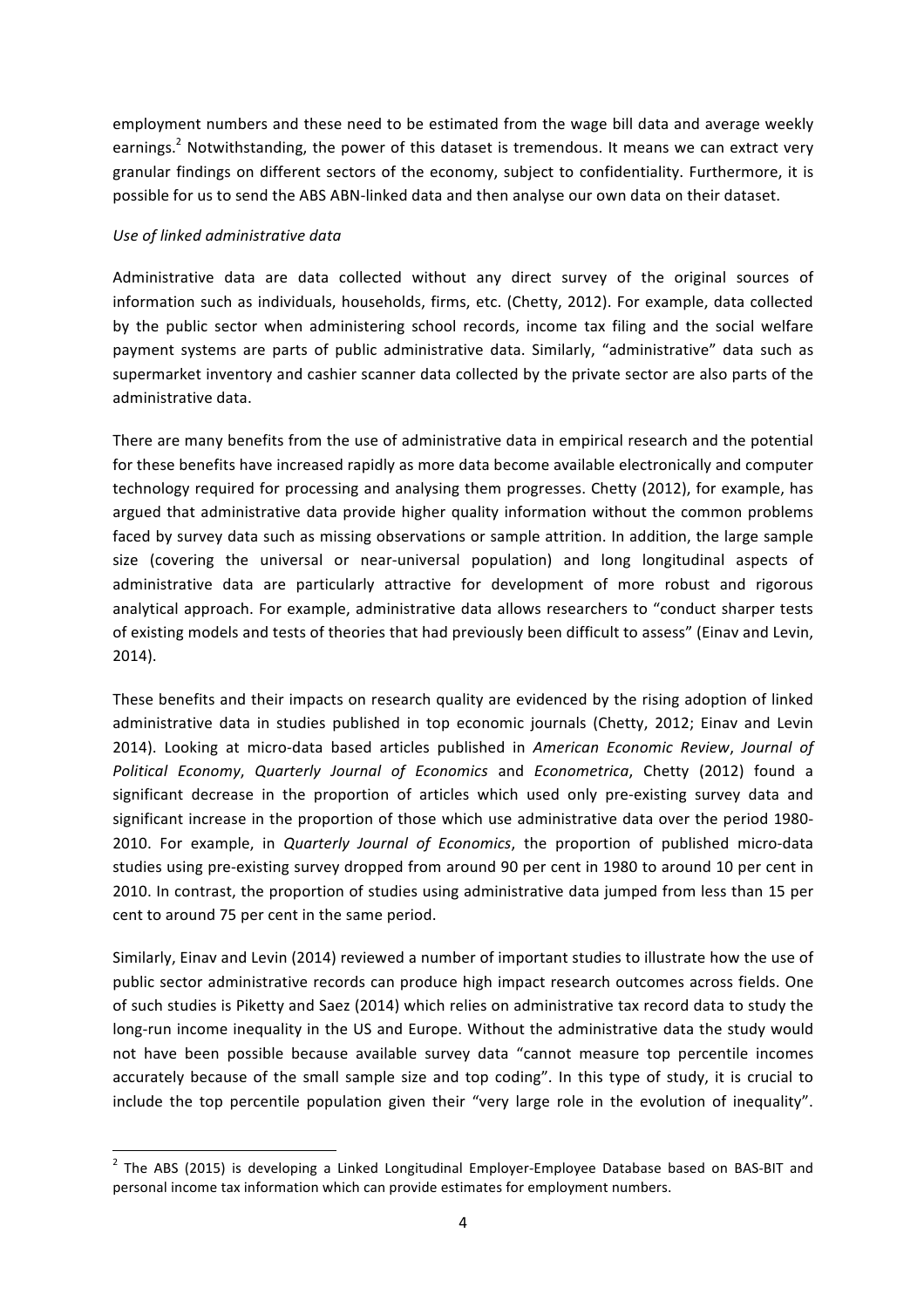employment numbers and these need to be estimated from the wage bill data and average weekly earnings.<sup>2</sup> Notwithstanding, the power of this dataset is tremendous. It means we can extract very granular findings on different sectors of the economy, subject to confidentiality. Furthermore, it is possible for us to send the ABS ABN-linked data and then analyse our own data on their dataset.

#### Use of linked administrative data

<u> 1989 - Johann Barn, mars ann an t-Amhain an t-Amhain an t-Amhain an t-Amhain an t-Amhain an t-Amhain an t-Amh</u>

Administrative data are data collected without any direct survey of the original sources of information such as individuals, households, firms, etc. (Chetty, 2012). For example, data collected by the public sector when administering school records, income tax filing and the social welfare payment systems are parts of public administrative data. Similarly, "administrative" data such as supermarket inventory and cashier scanner data collected by the private sector are also parts of the administrative data.

There are many benefits from the use of administrative data in empirical research and the potential for these benefits have increased rapidly as more data become available electronically and computer technology required for processing and analysing them progresses. Chetty (2012), for example, has argued that administrative data provide higher quality information without the common problems faced by survey data such as missing observations or sample attrition. In addition, the large sample size (covering the universal or near-universal population) and long longitudinal aspects of administrative data are particularly attractive for development of more robust and rigorous analytical approach. For example, administrative data allows researchers to "conduct sharper tests of existing models and tests of theories that had previously been difficult to assess" (Einav and Levin, 2014).

These benefits and their impacts on research quality are evidenced by the rising adoption of linked administrative data in studies published in top economic journals (Chetty, 2012; Einav and Levin 2014). Looking at micro-data based articles published in American Economic Review, Journal of *Political Economy*, *Quarterly Journal of Economics* and *Econometrica*, Chetty (2012) found a significant decrease in the proportion of articles which used only pre-existing survey data and significant increase in the proportion of those which use administrative data over the period 1980-2010. For example, in *Quarterly Journal of Economics*, the proportion of published micro-data studies using pre-existing survey dropped from around 90 per cent in 1980 to around 10 per cent in 2010. In contrast, the proportion of studies using administrative data jumped from less than 15 per cent to around 75 per cent in the same period.

Similarly, Einav and Levin (2014) reviewed a number of important studies to illustrate how the use of public sector administrative records can produce high impact research outcomes across fields. One of such studies is Piketty and Saez (2014) which relies on administrative tax record data to study the long-run income inequality in the US and Europe. Without the administrative data the study would not have been possible because available survey data "cannot measure top percentile incomes accurately because of the small sample size and top coding". In this type of study, it is crucial to include the top percentile population given their "very large role in the evolution of inequality".

 $2$  The ABS (2015) is developing a Linked Longitudinal Employer-Employee Database based on BAS-BIT and personal income tax information which can provide estimates for employment numbers.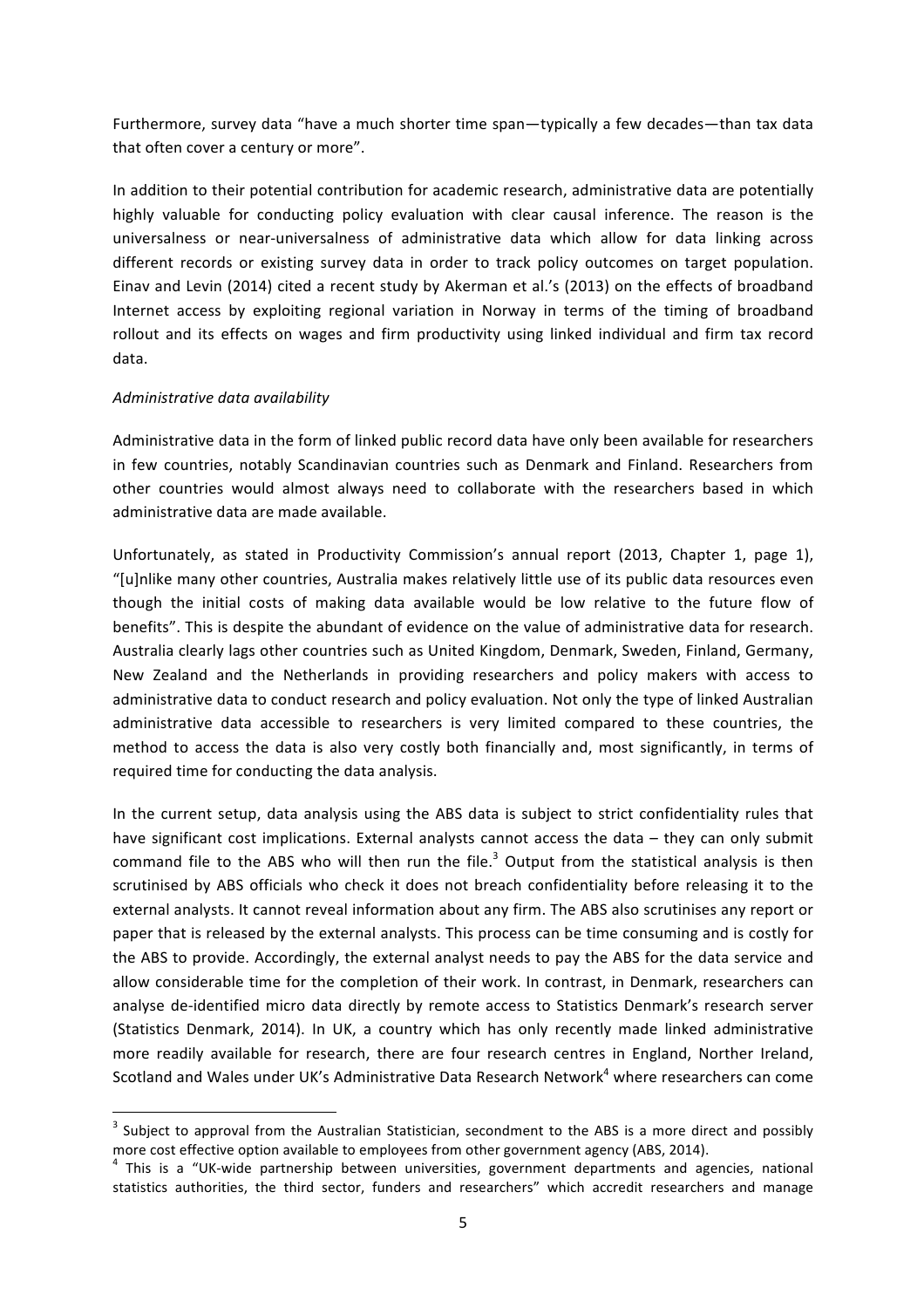Furthermore, survey data "have a much shorter time span—typically a few decades—than tax data that often cover a century or more".

In addition to their potential contribution for academic research, administrative data are potentially highly valuable for conducting policy evaluation with clear causal inference. The reason is the universalness or near-universalness of administrative data which allow for data linking across different records or existing survey data in order to track policy outcomes on target population. Einav and Levin (2014) cited a recent study by Akerman et al.'s (2013) on the effects of broadband Internet access by exploiting regional variation in Norway in terms of the timing of broadband rollout and its effects on wages and firm productivity using linked individual and firm tax record data.

#### *Administrative data availability*

Administrative data in the form of linked public record data have only been available for researchers in few countries, notably Scandinavian countries such as Denmark and Finland. Researchers from other countries would almost always need to collaborate with the researchers based in which administrative data are made available.

Unfortunately, as stated in Productivity Commission's annual report (2013, Chapter 1, page 1), "[u]nlike many other countries, Australia makes relatively little use of its public data resources even though the initial costs of making data available would be low relative to the future flow of benefits". This is despite the abundant of evidence on the value of administrative data for research. Australia clearly lags other countries such as United Kingdom, Denmark, Sweden, Finland, Germany, New Zealand and the Netherlands in providing researchers and policy makers with access to administrative data to conduct research and policy evaluation. Not only the type of linked Australian administrative data accessible to researchers is very limited compared to these countries, the method to access the data is also very costly both financially and, most significantly, in terms of required time for conducting the data analysis.

In the current setup, data analysis using the ABS data is subject to strict confidentiality rules that have significant cost implications. External analysts cannot access the data  $-$  they can only submit command file to the ABS who will then run the file.<sup>3</sup> Output from the statistical analysis is then scrutinised by ABS officials who check it does not breach confidentiality before releasing it to the external analysts. It cannot reveal information about any firm. The ABS also scrutinises any report or paper that is released by the external analysts. This process can be time consuming and is costly for the ABS to provide. Accordingly, the external analyst needs to pay the ABS for the data service and allow considerable time for the completion of their work. In contrast, in Denmark, researchers can analyse de-identified micro data directly by remote access to Statistics Denmark's research server (Statistics Denmark, 2014). In UK, a country which has only recently made linked administrative more readily available for research, there are four research centres in England, Norther Ireland, Scotland and Wales under UK's Administrative Data Research Network<sup>4</sup> where researchers can come

 $3$  Subject to approval from the Australian Statistician, secondment to the ABS is a more direct and possibly more cost effective option available to employees from other government agency (ABS, 2014).

 $4$  This is a "UK-wide partnership between universities, government departments and agencies, national statistics authorities, the third sector, funders and researchers" which accredit researchers and manage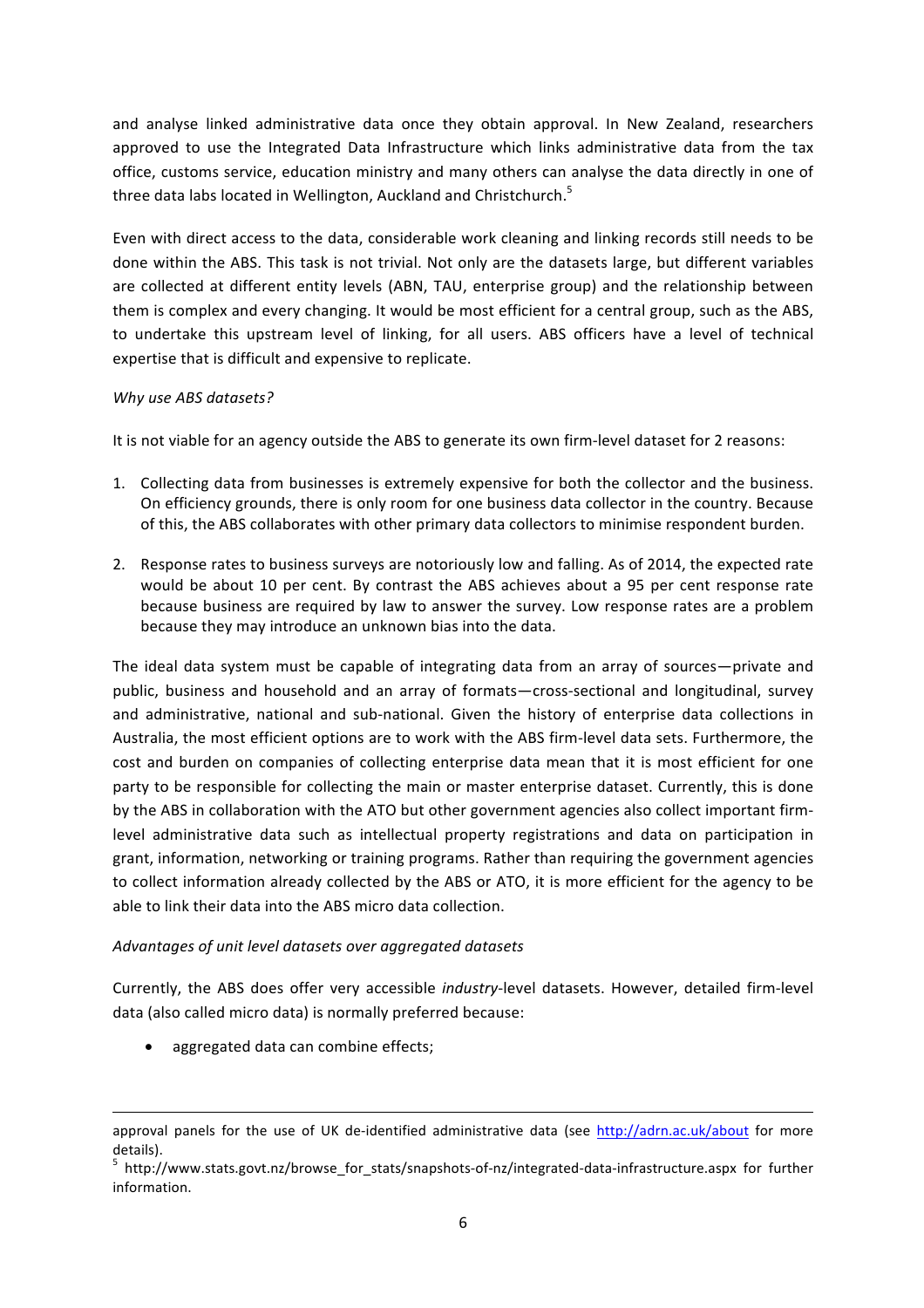and analyse linked administrative data once they obtain approval. In New Zealand, researchers approved to use the Integrated Data Infrastructure which links administrative data from the tax office, customs service, education ministry and many others can analyse the data directly in one of three data labs located in Wellington, Auckland and Christchurch.<sup>5</sup>

Even with direct access to the data, considerable work cleaning and linking records still needs to be done within the ABS. This task is not trivial. Not only are the datasets large, but different variables are collected at different entity levels (ABN, TAU, enterprise group) and the relationship between them is complex and every changing. It would be most efficient for a central group, such as the ABS, to undertake this upstream level of linking, for all users. ABS officers have a level of technical expertise that is difficult and expensive to replicate.

#### *Why use ABS datasets?*

It is not viable for an agency outside the ABS to generate its own firm-level dataset for 2 reasons:

- 1. Collecting data from businesses is extremely expensive for both the collector and the business. On efficiency grounds, there is only room for one business data collector in the country. Because of this, the ABS collaborates with other primary data collectors to minimise respondent burden.
- 2. Response rates to business surveys are notoriously low and falling. As of 2014, the expected rate would be about 10 per cent. By contrast the ABS achieves about a 95 per cent response rate because business are required by law to answer the survey. Low response rates are a problem because they may introduce an unknown bias into the data.

The ideal data system must be capable of integrating data from an array of sources—private and public, business and household and an array of formats—cross-sectional and longitudinal, survey and administrative, national and sub-national. Given the history of enterprise data collections in Australia, the most efficient options are to work with the ABS firm-level data sets. Furthermore, the cost and burden on companies of collecting enterprise data mean that it is most efficient for one party to be responsible for collecting the main or master enterprise dataset. Currently, this is done by the ABS in collaboration with the ATO but other government agencies also collect important firmlevel administrative data such as intellectual property registrations and data on participation in grant, information, networking or training programs. Rather than requiring the government agencies to collect information already collected by the ABS or ATO, it is more efficient for the agency to be able to link their data into the ABS micro data collection.

#### Advantages of unit level datasets over aggregated datasets

Currently, the ABS does offer very accessible *industry*-level datasets. However, detailed firm-level data (also called micro data) is normally preferred because:

• aggregated data can combine effects:

<sup>&</sup>lt;u> 1989 - Andrea Santa Andrea Andrea Andrea Andrea Andrea Andrea Andrea Andrea Andrea Andrea Andrea Andrea Andr</u> approval panels for the use of UK de-identified administrative data (see http://adrn.ac.uk/about for more

details).<br><sup>5</sup> http://www.stats.govt.nz/browse\_for\_stats/snapshots-of-nz/integrated-data-infrastructure.aspx for further information.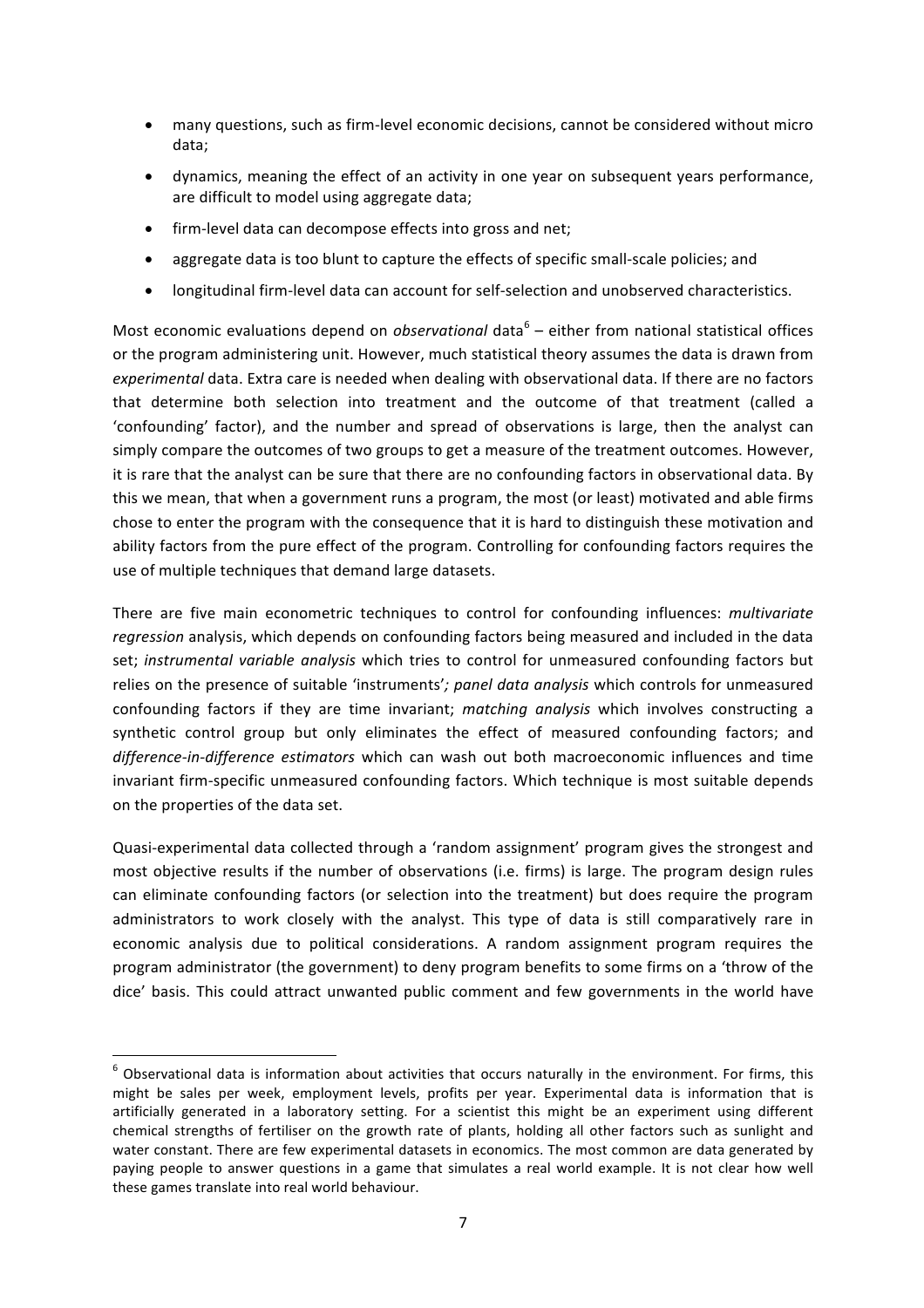- many questions, such as firm-level economic decisions, cannot be considered without micro data;
- dynamics, meaning the effect of an activity in one year on subsequent years performance, are difficult to model using aggregate data;
- firm-level data can decompose effects into gross and net;
- aggregate data is too blunt to capture the effects of specific small-scale policies; and
- longitudinal firm-level data can account for self-selection and unobserved characteristics.

Most economic evaluations depend on *observational* data<sup>6</sup> – either from national statistical offices or the program administering unit. However, much statistical theory assumes the data is drawn from *experimental* data. Extra care is needed when dealing with observational data. If there are no factors that determine both selection into treatment and the outcome of that treatment (called a 'confounding' factor), and the number and spread of observations is large, then the analyst can simply compare the outcomes of two groups to get a measure of the treatment outcomes. However, it is rare that the analyst can be sure that there are no confounding factors in observational data. By this we mean, that when a government runs a program, the most (or least) motivated and able firms chose to enter the program with the consequence that it is hard to distinguish these motivation and ability factors from the pure effect of the program. Controlling for confounding factors requires the use of multiple techniques that demand large datasets.

There are five main econometric techniques to control for confounding influences: *multivariate* regression analysis, which depends on confounding factors being measured and included in the data set; instrumental variable analysis which tries to control for unmeasured confounding factors but relies on the presence of suitable 'instruments'; panel data analysis which controls for unmeasured confounding factors if they are time invariant; *matching analysis* which involves constructing a synthetic control group but only eliminates the effect of measured confounding factors; and difference-in-difference estimators which can wash out both macroeconomic influences and time invariant firm-specific unmeasured confounding factors. Which technique is most suitable depends on the properties of the data set.

Quasi-experimental data collected through a 'random assignment' program gives the strongest and most objective results if the number of observations (i.e. firms) is large. The program design rules can eliminate confounding factors (or selection into the treatment) but does require the program administrators to work closely with the analyst. This type of data is still comparatively rare in economic analysis due to political considerations. A random assignment program requires the program administrator (the government) to deny program benefits to some firms on a 'throw of the dice' basis. This could attract unwanted public comment and few governments in the world have

 $6$  Observational data is information about activities that occurs naturally in the environment. For firms, this might be sales per week, employment levels, profits per year. Experimental data is information that is artificially generated in a laboratory setting. For a scientist this might be an experiment using different chemical strengths of fertiliser on the growth rate of plants, holding all other factors such as sunlight and water constant. There are few experimental datasets in economics. The most common are data generated by paying people to answer questions in a game that simulates a real world example. It is not clear how well these games translate into real world behaviour.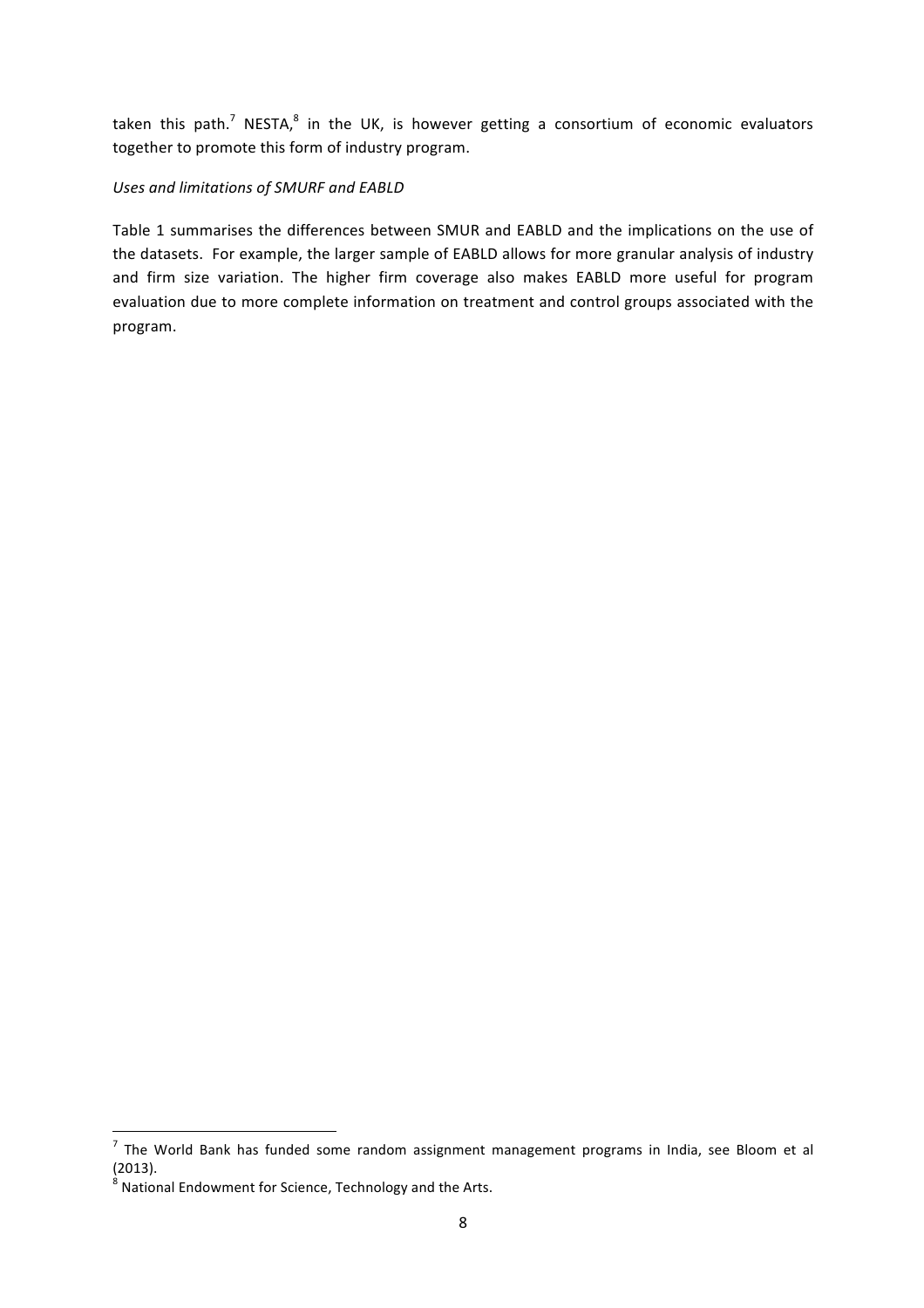taken this path.<sup>7</sup> NESTA,<sup>8</sup> in the UK, is however getting a consortium of economic evaluators together to promote this form of industry program.

#### Uses and limitations of SMURF and EABLD

Table 1 summarises the differences between SMUR and EABLD and the implications on the use of the datasets. For example, the larger sample of EABLD allows for more granular analysis of industry and firm size variation. The higher firm coverage also makes EABLD more useful for program evaluation due to more complete information on treatment and control groups associated with the program. 

 $7$  The World Bank has funded some random assignment management programs in India, see Bloom et al (2013).

 $^3$  National Endowment for Science, Technology and the Arts.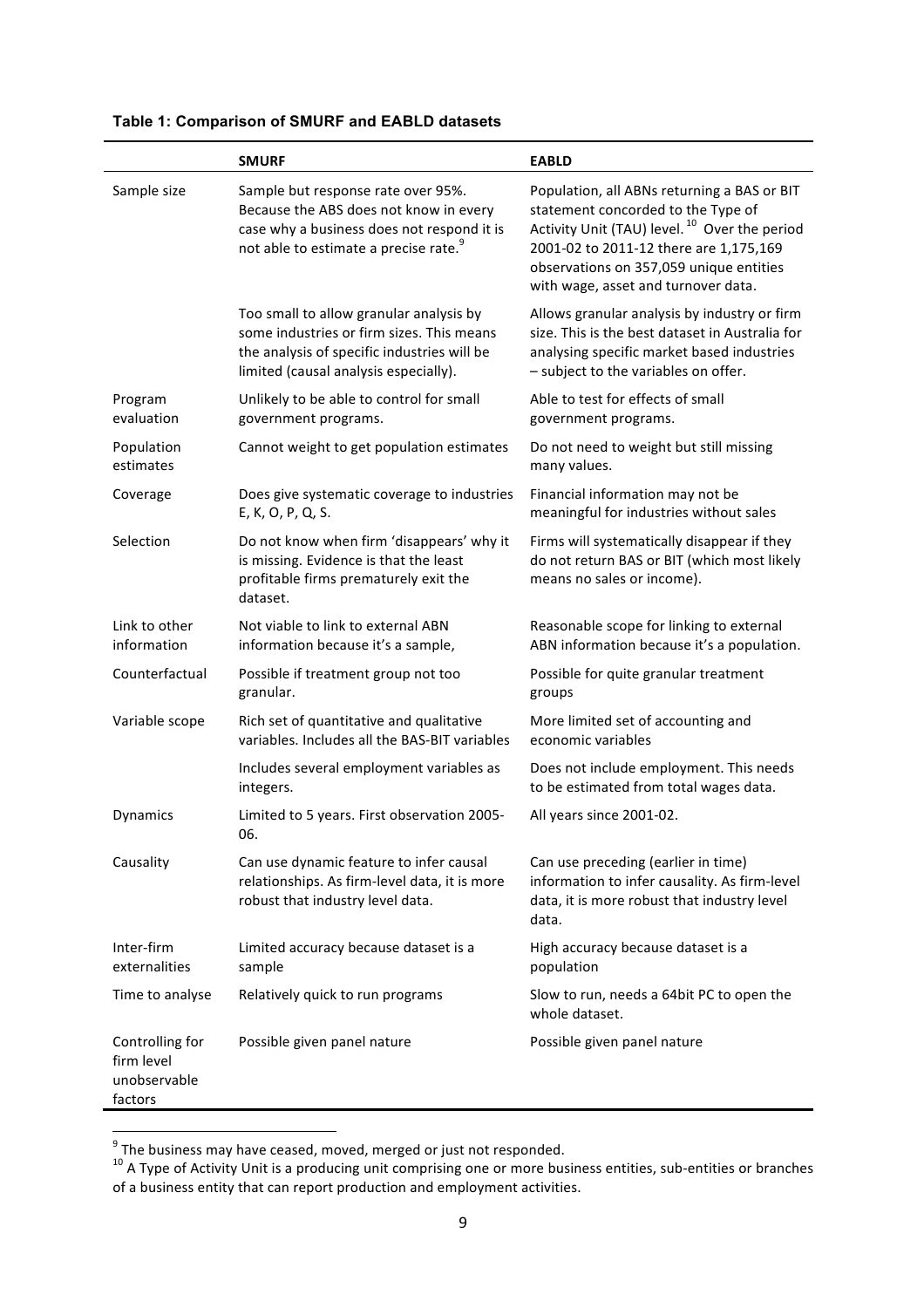|                                                          | <b>SMURF</b>                                                                                                                                                                 | <b>EABLD</b>                                                                                                                                                                                                                                                              |
|----------------------------------------------------------|------------------------------------------------------------------------------------------------------------------------------------------------------------------------------|---------------------------------------------------------------------------------------------------------------------------------------------------------------------------------------------------------------------------------------------------------------------------|
| Sample size                                              | Sample but response rate over 95%.<br>Because the ABS does not know in every<br>case why a business does not respond it is<br>not able to estimate a precise rate.           | Population, all ABNs returning a BAS or BIT<br>statement concorded to the Type of<br>Activity Unit (TAU) level. <sup>10</sup> Over the period<br>2001-02 to 2011-12 there are 1,175,169<br>observations on 357,059 unique entities<br>with wage, asset and turnover data. |
|                                                          | Too small to allow granular analysis by<br>some industries or firm sizes. This means<br>the analysis of specific industries will be<br>limited (causal analysis especially). | Allows granular analysis by industry or firm<br>size. This is the best dataset in Australia for<br>analysing specific market based industries<br>- subject to the variables on offer.                                                                                     |
| Program<br>evaluation                                    | Unlikely to be able to control for small<br>government programs.                                                                                                             | Able to test for effects of small<br>government programs.                                                                                                                                                                                                                 |
| Population<br>estimates                                  | Cannot weight to get population estimates                                                                                                                                    | Do not need to weight but still missing<br>many values.                                                                                                                                                                                                                   |
| Coverage                                                 | Does give systematic coverage to industries<br>E, K, O, P, Q, S.                                                                                                             | Financial information may not be<br>meaningful for industries without sales                                                                                                                                                                                               |
| Selection                                                | Do not know when firm 'disappears' why it<br>is missing. Evidence is that the least<br>profitable firms prematurely exit the<br>dataset.                                     | Firms will systematically disappear if they<br>do not return BAS or BIT (which most likely<br>means no sales or income).                                                                                                                                                  |
| Link to other<br>information                             | Not viable to link to external ABN<br>information because it's a sample,                                                                                                     | Reasonable scope for linking to external<br>ABN information because it's a population.                                                                                                                                                                                    |
| Counterfactual                                           | Possible if treatment group not too<br>granular.                                                                                                                             | Possible for quite granular treatment<br>groups                                                                                                                                                                                                                           |
| Variable scope                                           | Rich set of quantitative and qualitative<br>variables. Includes all the BAS-BIT variables                                                                                    | More limited set of accounting and<br>economic variables                                                                                                                                                                                                                  |
|                                                          | Includes several employment variables as<br>integers.                                                                                                                        | Does not include employment. This needs<br>to be estimated from total wages data.                                                                                                                                                                                         |
| Dynamics                                                 | Limited to 5 years. First observation 2005-<br>06.                                                                                                                           | All years since 2001-02.                                                                                                                                                                                                                                                  |
| Causality                                                | Can use dynamic feature to infer causal<br>relationships. As firm-level data, it is more<br>robust that industry level data.                                                 | Can use preceding (earlier in time)<br>information to infer causality. As firm-level<br>data, it is more robust that industry level<br>data.                                                                                                                              |
| Inter-firm<br>externalities                              | Limited accuracy because dataset is a<br>sample                                                                                                                              | High accuracy because dataset is a<br>population                                                                                                                                                                                                                          |
| Time to analyse                                          | Relatively quick to run programs                                                                                                                                             | Slow to run, needs a 64bit PC to open the<br>whole dataset.                                                                                                                                                                                                               |
| Controlling for<br>firm level<br>unobservable<br>factors | Possible given panel nature                                                                                                                                                  | Possible given panel nature                                                                                                                                                                                                                                               |

#### **Table 1: Comparison of SMURF and EABLD datasets**

 $^9$  The business may have ceased, moved, merged or just not responded.

 $^{10}$  A Type of Activity Unit is a producing unit comprising one or more business entities, sub-entities or branches of a business entity that can report production and employment activities.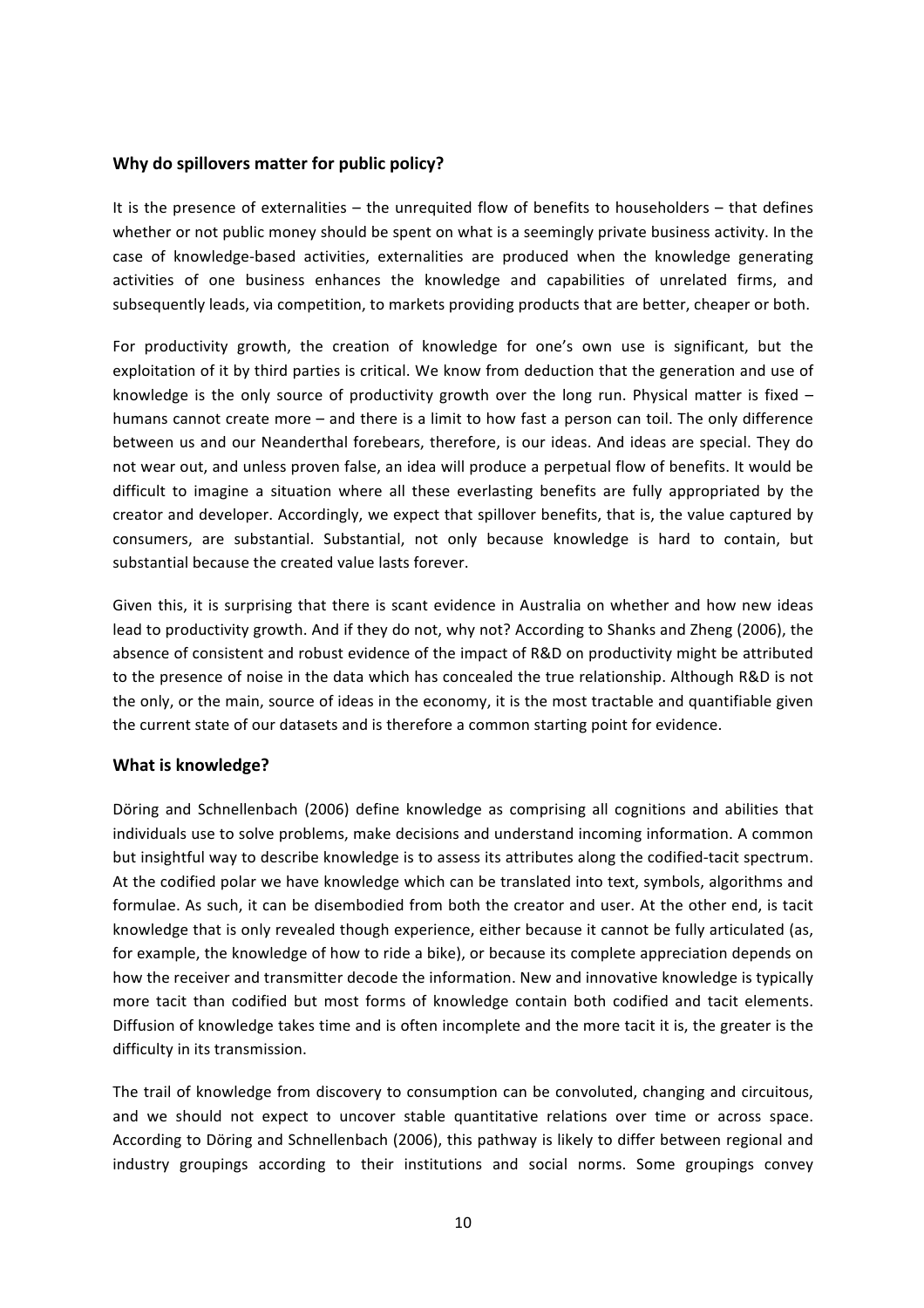#### **Why do spillovers matter for public policy?**

It is the presence of externalities  $-$  the unrequited flow of benefits to householders  $-$  that defines whether or not public money should be spent on what is a seemingly private business activity. In the case of knowledge-based activities, externalities are produced when the knowledge generating activities of one business enhances the knowledge and capabilities of unrelated firms, and subsequently leads, via competition, to markets providing products that are better, cheaper or both.

For productivity growth, the creation of knowledge for one's own use is significant, but the exploitation of it by third parties is critical. We know from deduction that the generation and use of knowledge is the only source of productivity growth over the long run. Physical matter is fixed  $$ humans cannot create more – and there is a limit to how fast a person can toil. The only difference between us and our Neanderthal forebears, therefore, is our ideas. And ideas are special. They do not wear out, and unless proven false, an idea will produce a perpetual flow of benefits. It would be difficult to imagine a situation where all these everlasting benefits are fully appropriated by the creator and developer. Accordingly, we expect that spillover benefits, that is, the value captured by consumers, are substantial. Substantial, not only because knowledge is hard to contain, but substantial because the created value lasts forever.

Given this, it is surprising that there is scant evidence in Australia on whether and how new ideas lead to productivity growth. And if they do not, why not? According to Shanks and Zheng (2006), the absence of consistent and robust evidence of the impact of R&D on productivity might be attributed to the presence of noise in the data which has concealed the true relationship. Although R&D is not the only, or the main, source of ideas in the economy, it is the most tractable and quantifiable given the current state of our datasets and is therefore a common starting point for evidence.

#### **What is knowledge?**

Döring and Schnellenbach (2006) define knowledge as comprising all cognitions and abilities that individuals use to solve problems, make decisions and understand incoming information. A common but insightful way to describe knowledge is to assess its attributes along the codified-tacit spectrum. At the codified polar we have knowledge which can be translated into text, symbols, algorithms and formulae. As such, it can be disembodied from both the creator and user. At the other end, is tacit knowledge that is only revealed though experience, either because it cannot be fully articulated (as, for example, the knowledge of how to ride a bike), or because its complete appreciation depends on how the receiver and transmitter decode the information. New and innovative knowledge is typically more tacit than codified but most forms of knowledge contain both codified and tacit elements. Diffusion of knowledge takes time and is often incomplete and the more tacit it is, the greater is the difficulty in its transmission.

The trail of knowledge from discovery to consumption can be convoluted, changing and circuitous, and we should not expect to uncover stable quantitative relations over time or across space. According to Döring and Schnellenbach (2006), this pathway is likely to differ between regional and industry groupings according to their institutions and social norms. Some groupings convey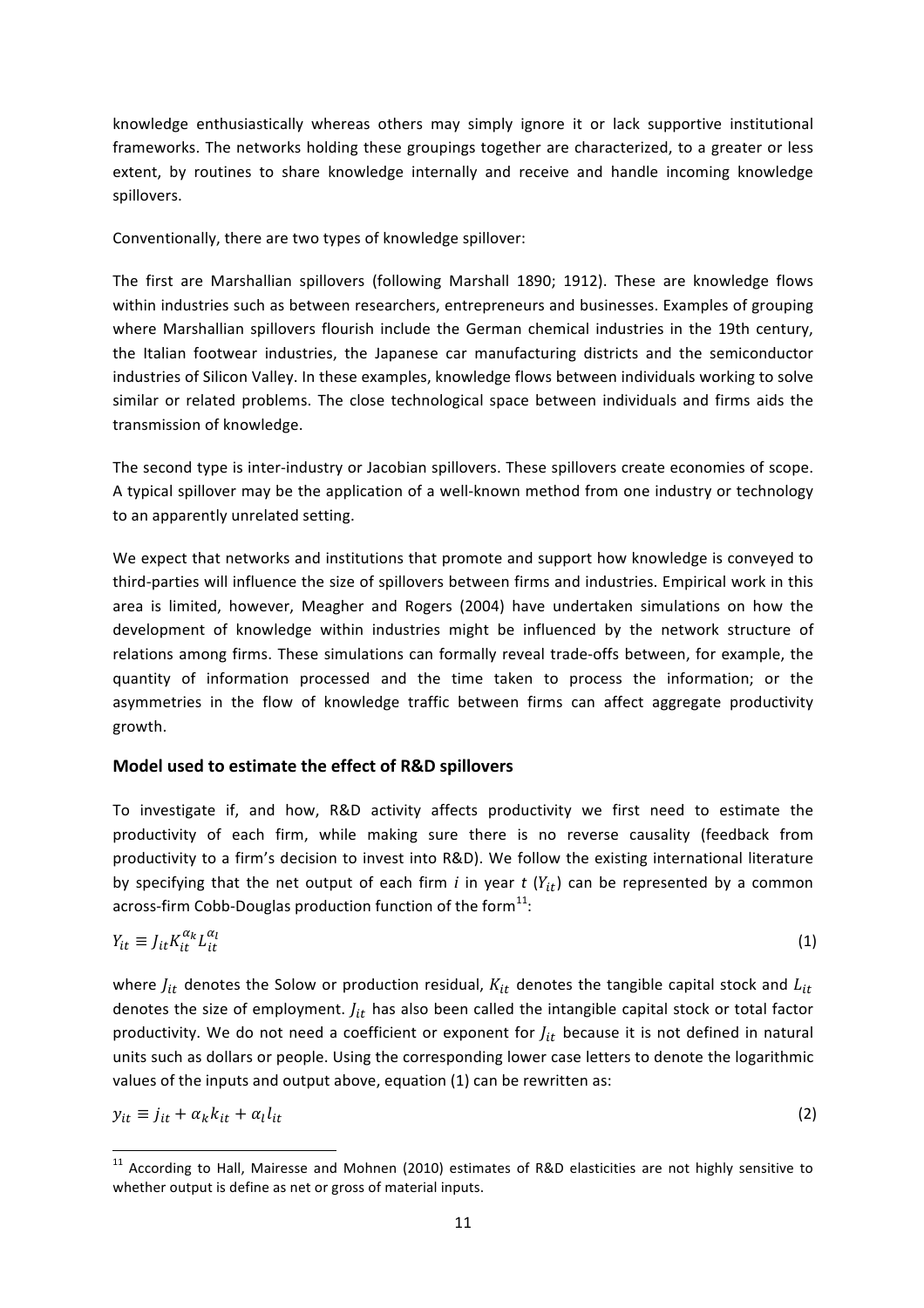knowledge enthusiastically whereas others may simply ignore it or lack supportive institutional frameworks. The networks holding these groupings together are characterized, to a greater or less extent, by routines to share knowledge internally and receive and handle incoming knowledge spillovers.

Conventionally, there are two types of knowledge spillover:

The first are Marshallian spillovers (following Marshall 1890; 1912). These are knowledge flows within industries such as between researchers, entrepreneurs and businesses. Examples of grouping where Marshallian spillovers flourish include the German chemical industries in the 19th century, the Italian footwear industries, the Japanese car manufacturing districts and the semiconductor industries of Silicon Valley. In these examples, knowledge flows between individuals working to solve similar or related problems. The close technological space between individuals and firms aids the transmission of knowledge.

The second type is inter-industry or Jacobian spillovers. These spillovers create economies of scope. A typical spillover may be the application of a well-known method from one industry or technology to an apparently unrelated setting.

We expect that networks and institutions that promote and support how knowledge is conveyed to third-parties will influence the size of spillovers between firms and industries. Empirical work in this area is limited, however, Meagher and Rogers (2004) have undertaken simulations on how the development of knowledge within industries might be influenced by the network structure of relations among firms. These simulations can formally reveal trade-offs between, for example, the quantity of information processed and the time taken to process the information; or the asymmetries in the flow of knowledge traffic between firms can affect aggregate productivity growth.

#### **Model used to estimate the effect of R&D spillovers**

<u> 1989 - Johann Barn, mars ann an t-Amhain an t-Amhain an t-Amhain an t-Amhain an t-Amhain an t-Amhain an t-Amh</u>

To investigate if, and how, R&D activity affects productivity we first need to estimate the productivity of each firm, while making sure there is no reverse causality (feedback from productivity to a firm's decision to invest into R&D). We follow the existing international literature by specifying that the net output of each firm *i* in year  $t(Y_{it})$  can be represented by a common across-firm Cobb-Douglas production function of the form $^{11}$ :

$$
Y_{it} \equiv J_{it} K_{it}^{\alpha_k} L_{it}^{\alpha_l} \tag{1}
$$

where  $J_{it}$  denotes the Solow or production residual,  $K_{it}$  denotes the tangible capital stock and  $L_{it}$ denotes the size of employment.  $J_{it}$  has also been called the intangible capital stock or total factor productivity. We do not need a coefficient or exponent for  $J_{it}$  because it is not defined in natural units such as dollars or people. Using the corresponding lower case letters to denote the logarithmic values of the inputs and output above, equation  $(1)$  can be rewritten as:

$$
y_{it} \equiv j_{it} + \alpha_k k_{it} + \alpha_l l_{it} \tag{2}
$$

 $11$  According to Hall, Mairesse and Mohnen (2010) estimates of R&D elasticities are not highly sensitive to whether output is define as net or gross of material inputs.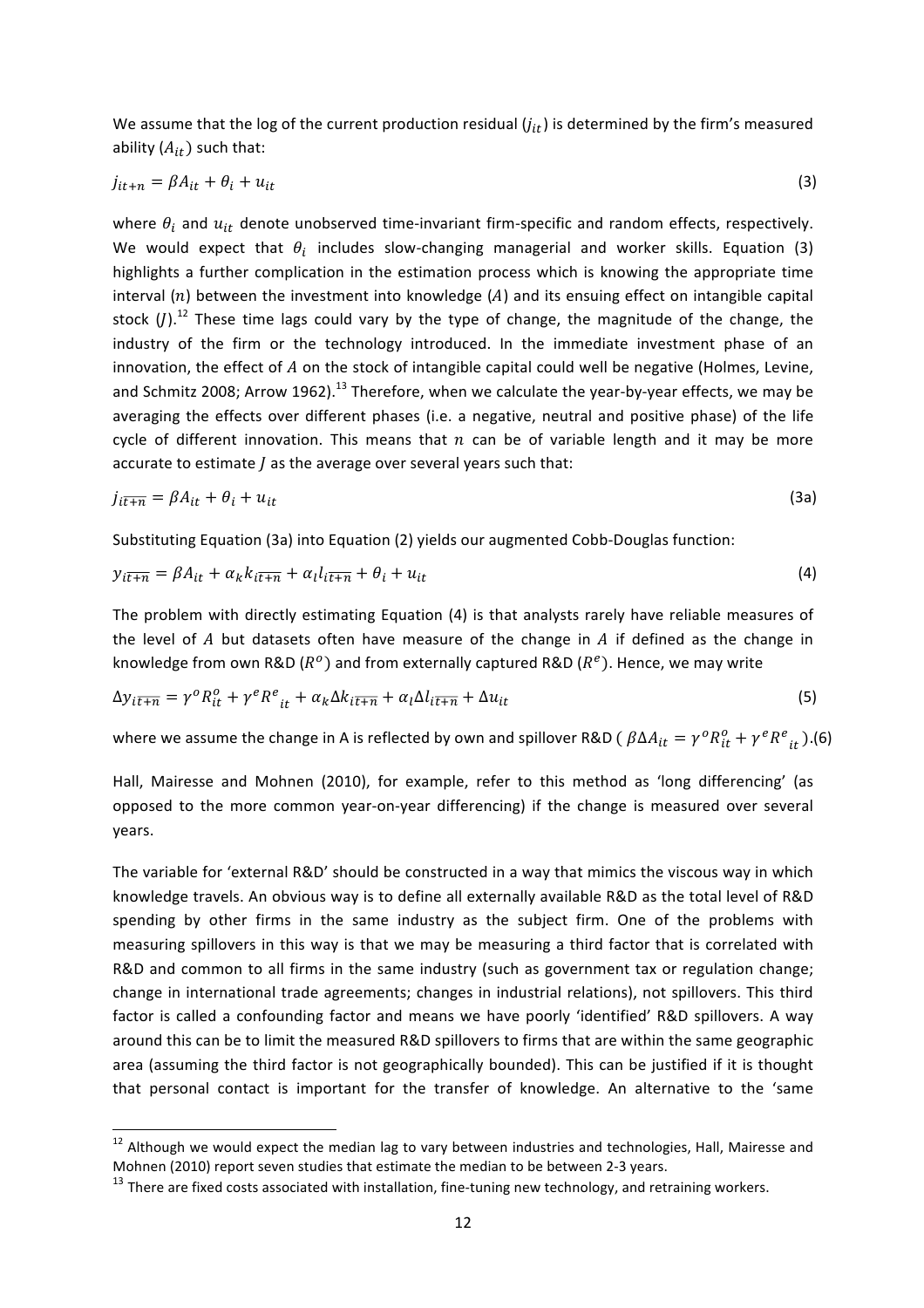We assume that the log of the current production residual  $(j_{it})$  is determined by the firm's measured ability  $(A_{it})$  such that:

$$
j_{it+n} = \beta A_{it} + \theta_i + u_{it} \tag{3}
$$

where  $\theta_i$  and  $u_{it}$  denote unobserved time-invariant firm-specific and random effects, respectively. We would expect that  $\theta_i$  includes slow-changing managerial and worker skills. Equation (3) highlights a further complication in the estimation process which is knowing the appropriate time interval (n) between the investment into knowledge (A) and its ensuing effect on intangible capital stock  $(J)$ .<sup>12</sup> These time lags could vary by the type of change, the magnitude of the change, the industry of the firm or the technology introduced. In the immediate investment phase of an innovation, the effect of  $A$  on the stock of intangible capital could well be negative (Holmes, Levine, and Schmitz 2008; Arrow 1962).<sup>13</sup> Therefore, when we calculate the year-by-year effects, we may be averaging the effects over different phases (i.e. a negative, neutral and positive phase) of the life cycle of different innovation. This means that  $n$  can be of variable length and it may be more accurate to estimate  *as the average over several years such that:* 

$$
j_{i\overline{t+n}} = \beta A_{it} + \theta_i + u_{it} \tag{3a}
$$

Substituting Equation (3a) into Equation (2) yields our augmented Cobb-Douglas function:

$$
y_{i\overline{t+n}} = \beta A_{it} + \alpha_k k_{i\overline{t+n}} + \alpha_l l_{i\overline{t+n}} + \theta_i + u_{it}
$$
\n<sup>(4)</sup>

The problem with directly estimating Equation (4) is that analysts rarely have reliable measures of the level of  $A$  but datasets often have measure of the change in  $A$  if defined as the change in knowledge from own R&D ( $R^o$ ) and from externally captured R&D ( $R^e$ ). Hence, we may write

$$
\Delta y_{i\overline{t+n}} = \gamma^o R_{it}^o + \gamma^e R_{it}^e + \alpha_k \Delta k_{i\overline{t+n}} + \alpha_l \Delta l_{i\overline{t+n}} + \Delta u_{it}
$$
\n<sup>(5)</sup>

where we assume the change in A is reflected by own and spillover R&D (  $\beta\Delta A_{it}=\gamma^oR^o_{it}+\gamma^eR^e_{\phantom{e}it}$  ).(6)

Hall, Mairesse and Mohnen (2010), for example, refer to this method as 'long differencing' (as opposed to the more common year-on-year differencing) if the change is measured over several years. 

The variable for 'external R&D' should be constructed in a way that mimics the viscous way in which knowledge travels. An obvious way is to define all externally available R&D as the total level of R&D spending by other firms in the same industry as the subject firm. One of the problems with measuring spillovers in this way is that we may be measuring a third factor that is correlated with R&D and common to all firms in the same industry (such as government tax or regulation change; change in international trade agreements; changes in industrial relations), not spillovers. This third factor is called a confounding factor and means we have poorly 'identified' R&D spillovers. A way around this can be to limit the measured R&D spillovers to firms that are within the same geographic area (assuming the third factor is not geographically bounded). This can be justified if it is thought that personal contact is important for the transfer of knowledge. An alternative to the 'same

 $12$  Although we would expect the median lag to vary between industries and technologies, Hall, Mairesse and Mohnen (2010) report seven studies that estimate the median to be between 2-3 years.

 $13$  There are fixed costs associated with installation, fine-tuning new technology, and retraining workers.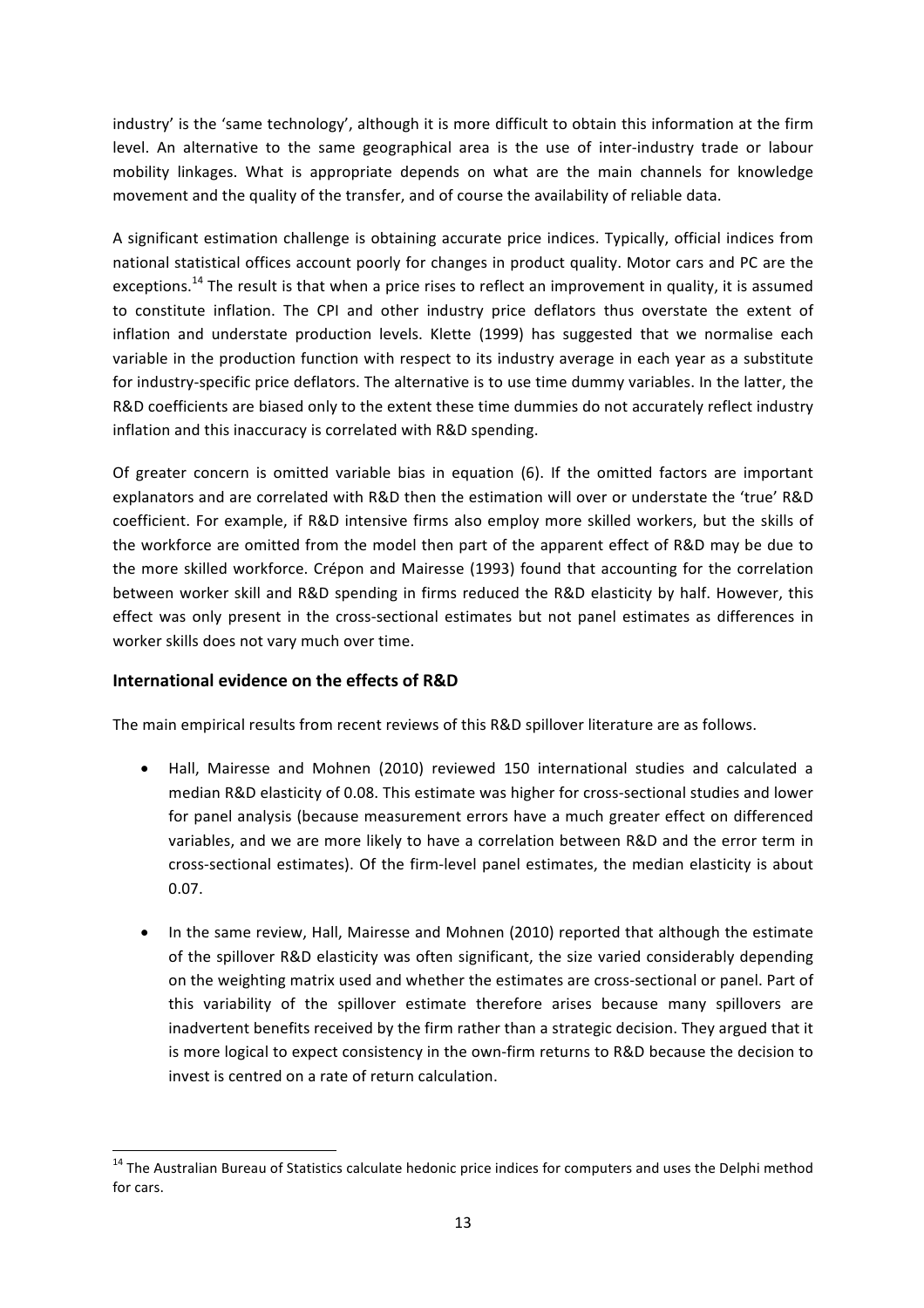industry' is the 'same technology', although it is more difficult to obtain this information at the firm level. An alternative to the same geographical area is the use of inter-industry trade or labour mobility linkages. What is appropriate depends on what are the main channels for knowledge movement and the quality of the transfer, and of course the availability of reliable data.

A significant estimation challenge is obtaining accurate price indices. Typically, official indices from national statistical offices account poorly for changes in product quality. Motor cars and PC are the exceptions.<sup>14</sup> The result is that when a price rises to reflect an improvement in quality, it is assumed to constitute inflation. The CPI and other industry price deflators thus overstate the extent of inflation and understate production levels. Klette (1999) has suggested that we normalise each variable in the production function with respect to its industry average in each year as a substitute for industry-specific price deflators. The alternative is to use time dummy variables. In the latter, the R&D coefficients are biased only to the extent these time dummies do not accurately reflect industry inflation and this inaccuracy is correlated with R&D spending.

Of greater concern is omitted variable bias in equation  $(6)$ . If the omitted factors are important explanators and are correlated with R&D then the estimation will over or understate the 'true' R&D coefficient. For example, if R&D intensive firms also employ more skilled workers, but the skills of the workforce are omitted from the model then part of the apparent effect of R&D may be due to the more skilled workforce. Crépon and Mairesse (1993) found that accounting for the correlation between worker skill and R&D spending in firms reduced the R&D elasticity by half. However, this effect was only present in the cross-sectional estimates but not panel estimates as differences in worker skills does not vary much over time.

#### **International evidence on the effects of R&D**

<u> 1989 - Johann Barn, mars ann an t-Amhain an t-Amhain an t-Amhain an t-Amhain an t-Amhain an t-Amhain an t-Amh</u>

The main empirical results from recent reviews of this R&D spillover literature are as follows.

- Hall, Mairesse and Mohnen (2010) reviewed 150 international studies and calculated a median R&D elasticity of 0.08. This estimate was higher for cross-sectional studies and lower for panel analysis (because measurement errors have a much greater effect on differenced variables, and we are more likely to have a correlation between R&D and the error term in cross-sectional estimates). Of the firm-level panel estimates, the median elasticity is about 0.07.
- In the same review, Hall, Mairesse and Mohnen (2010) reported that although the estimate of the spillover R&D elasticity was often significant, the size varied considerably depending on the weighting matrix used and whether the estimates are cross-sectional or panel. Part of this variability of the spillover estimate therefore arises because many spillovers are inadvertent benefits received by the firm rather than a strategic decision. They argued that it is more logical to expect consistency in the own-firm returns to R&D because the decision to invest is centred on a rate of return calculation.

 $14$  The Australian Bureau of Statistics calculate hedonic price indices for computers and uses the Delphi method for cars.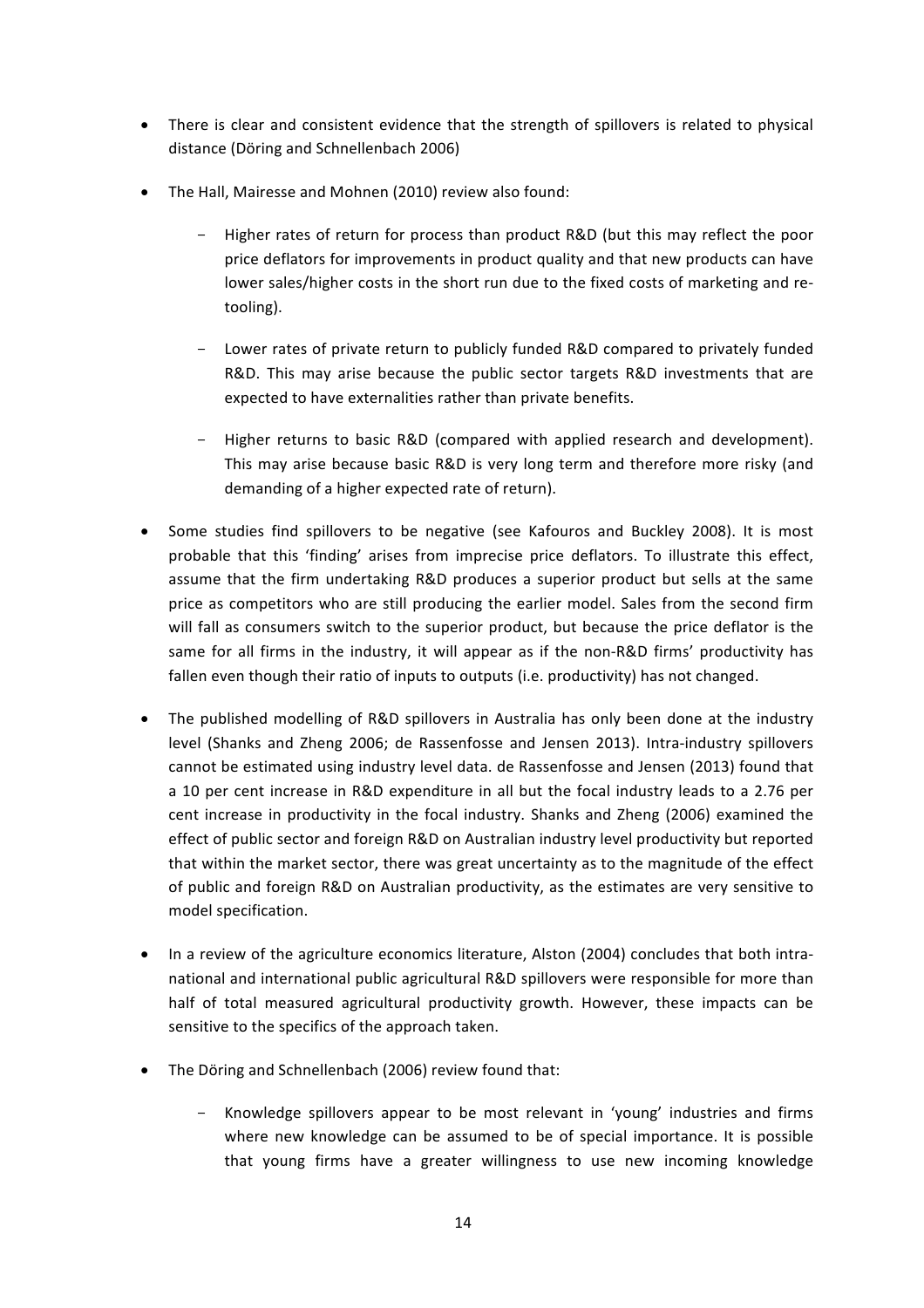- There is clear and consistent evidence that the strength of spillovers is related to physical distance (Döring and Schnellenbach 2006)
- The Hall, Mairesse and Mohnen (2010) review also found:
	- Higher rates of return for process than product R&D (but this may reflect the poor price deflators for improvements in product quality and that new products can have lower sales/higher costs in the short run due to the fixed costs of marketing and retooling).
	- Lower rates of private return to publicly funded R&D compared to privately funded R&D. This may arise because the public sector targets R&D investments that are expected to have externalities rather than private benefits.
	- Higher returns to basic R&D (compared with applied research and development). This may arise because basic  $R&D$  is very long term and therefore more risky (and demanding of a higher expected rate of return).
- Some studies find spillovers to be negative (see Kafouros and Buckley 2008). It is most probable that this 'finding' arises from imprecise price deflators. To illustrate this effect, assume that the firm undertaking R&D produces a superior product but sells at the same price as competitors who are still producing the earlier model. Sales from the second firm will fall as consumers switch to the superior product, but because the price deflator is the same for all firms in the industry, it will appear as if the non-R&D firms' productivity has fallen even though their ratio of inputs to outputs (i.e. productivity) has not changed.
- The published modelling of R&D spillovers in Australia has only been done at the industry level (Shanks and Zheng 2006; de Rassenfosse and Jensen 2013). Intra-industry spillovers cannot be estimated using industry level data. de Rassenfosse and Jensen (2013) found that a 10 per cent increase in R&D expenditure in all but the focal industry leads to a 2.76 per cent increase in productivity in the focal industry. Shanks and Zheng (2006) examined the effect of public sector and foreign R&D on Australian industry level productivity but reported that within the market sector, there was great uncertainty as to the magnitude of the effect of public and foreign R&D on Australian productivity, as the estimates are very sensitive to model specification.
- In a review of the agriculture economics literature, Alston (2004) concludes that both intranational and international public agricultural R&D spillovers were responsible for more than half of total measured agricultural productivity growth. However, these impacts can be sensitive to the specifics of the approach taken.
- The Döring and Schnellenbach (2006) review found that:
	- Knowledge spillovers appear to be most relevant in 'young' industries and firms where new knowledge can be assumed to be of special importance. It is possible that young firms have a greater willingness to use new incoming knowledge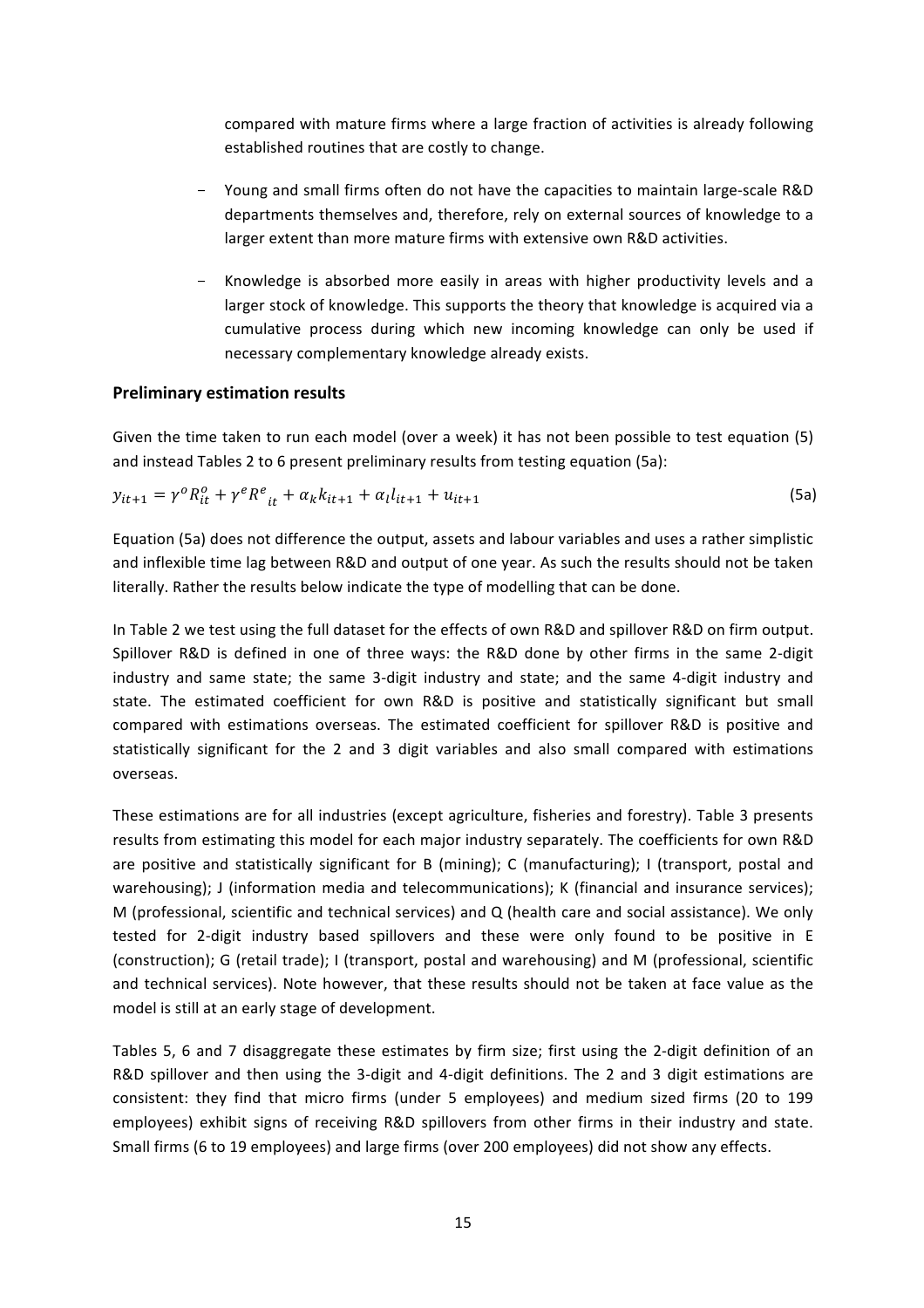compared with mature firms where a large fraction of activities is already following established routines that are costly to change.

- Young and small firms often do not have the capacities to maintain large-scale R&D departments themselves and, therefore, rely on external sources of knowledge to a larger extent than more mature firms with extensive own R&D activities.
- Knowledge is absorbed more easily in areas with higher productivity levels and a larger stock of knowledge. This supports the theory that knowledge is acquired via a cumulative process during which new incoming knowledge can only be used if necessary complementary knowledge already exists.

#### **Preliminary estimation results**

Given the time taken to run each model (over a week) it has not been possible to test equation (5) and instead Tables 2 to 6 present preliminary results from testing equation  $(5a)$ :

$$
y_{it+1} = \gamma^o R_{it}^o + \gamma^e R_{it}^e + \alpha_k k_{it+1} + \alpha_l l_{it+1} + u_{it+1}
$$
\n(5a)

Equation (5a) does not difference the output, assets and labour variables and uses a rather simplistic and inflexible time lag between R&D and output of one year. As such the results should not be taken literally. Rather the results below indicate the type of modelling that can be done.

In Table 2 we test using the full dataset for the effects of own R&D and spillover R&D on firm output. Spillover R&D is defined in one of three ways: the R&D done by other firms in the same 2-digit industry and same state; the same 3-digit industry and state; and the same 4-digit industry and state. The estimated coefficient for own R&D is positive and statistically significant but small compared with estimations overseas. The estimated coefficient for spillover R&D is positive and statistically significant for the 2 and 3 digit variables and also small compared with estimations overseas.

These estimations are for all industries (except agriculture, fisheries and forestry). Table 3 presents results from estimating this model for each major industry separately. The coefficients for own R&D are positive and statistically significant for B (mining);  $C$  (manufacturing); I (transport, postal and warehousing); J (information media and telecommunications); K (financial and insurance services); M (professional, scientific and technical services) and Q (health care and social assistance). We only tested for 2-digit industry based spillovers and these were only found to be positive in E (construction); G (retail trade); I (transport, postal and warehousing) and M (professional, scientific and technical services). Note however, that these results should not be taken at face value as the model is still at an early stage of development.

Tables 5, 6 and 7 disaggregate these estimates by firm size; first using the 2-digit definition of an R&D spillover and then using the 3-digit and 4-digit definitions. The 2 and 3 digit estimations are consistent: they find that micro firms (under 5 employees) and medium sized firms (20 to 199 employees) exhibit signs of receiving R&D spillovers from other firms in their industry and state. Small firms (6 to 19 employees) and large firms (over 200 employees) did not show any effects.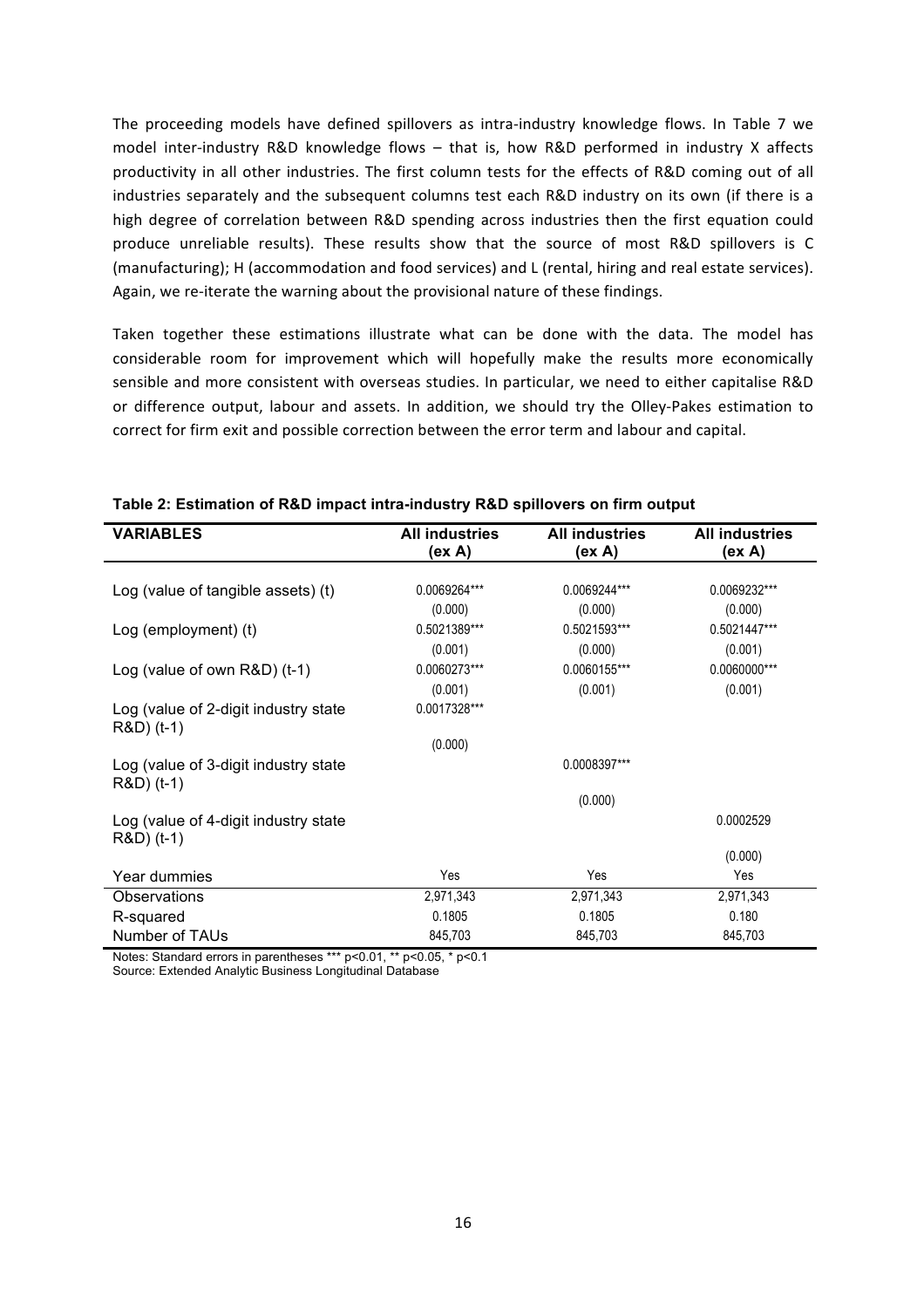The proceeding models have defined spillovers as intra-industry knowledge flows. In Table 7 we model inter-industry R&D knowledge flows - that is, how R&D performed in industry X affects productivity in all other industries. The first column tests for the effects of R&D coming out of all industries separately and the subsequent columns test each R&D industry on its own (if there is a high degree of correlation between R&D spending across industries then the first equation could produce unreliable results). These results show that the source of most R&D spillovers is C (manufacturing); H (accommodation and food services) and L (rental, hiring and real estate services). Again, we re-iterate the warning about the provisional nature of these findings.

Taken together these estimations illustrate what can be done with the data. The model has considerable room for improvement which will hopefully make the results more economically sensible and more consistent with overseas studies. In particular, we need to either capitalise R&D or difference output, labour and assets. In addition, we should try the Olley-Pakes estimation to correct for firm exit and possible correction between the error term and labour and capital.

| <b>VARIABLES</b>                                   | <b>All industries</b><br>(ex A) | <b>All industries</b><br>(ex A) | <b>All industries</b><br>(ex A) |
|----------------------------------------------------|---------------------------------|---------------------------------|---------------------------------|
|                                                    |                                 |                                 |                                 |
| Log (value of tangible assets) (t)                 | 0.0069264***                    | 0.0069244***                    | 0.0069232***                    |
|                                                    | (0.000)                         | (0.000)                         | (0.000)                         |
| Log (employment) (t)                               | 0.5021389***                    | 0.5021593***                    | 0.5021447***                    |
|                                                    | (0.001)                         | (0.000)                         | (0.001)                         |
| Log (value of own R&D) (t-1)                       | 0.0060273***                    | 0.0060155***                    | 0.0060000***                    |
|                                                    | (0.001)                         | (0.001)                         | (0.001)                         |
| Log (value of 2-digit industry state<br>R&D) (t-1) | 0.0017328***                    |                                 |                                 |
|                                                    | (0.000)                         |                                 |                                 |
| Log (value of 3-digit industry state<br>R&D) (t-1) |                                 | 0.0008397***                    |                                 |
|                                                    |                                 | (0.000)                         |                                 |
| Log (value of 4-digit industry state<br>R&D) (t-1) |                                 |                                 | 0.0002529                       |
|                                                    |                                 |                                 | (0.000)                         |
| Year dummies                                       | Yes                             | Yes                             | Yes                             |
| Observations                                       | 2,971,343                       | 2,971,343                       | 2,971,343                       |
| R-squared                                          | 0.1805                          | 0.1805                          | 0.180                           |
| Number of TAUs                                     | 845,703                         | 845,703                         | 845,703                         |

|  |  | Table 2: Estimation of R&D impact intra-industry R&D spillovers on firm output |  |  |
|--|--|--------------------------------------------------------------------------------|--|--|
|  |  |                                                                                |  |  |

Notes: Standard errors in parentheses \*\*\* p<0.01, \*\* p<0.05, \* p<0.1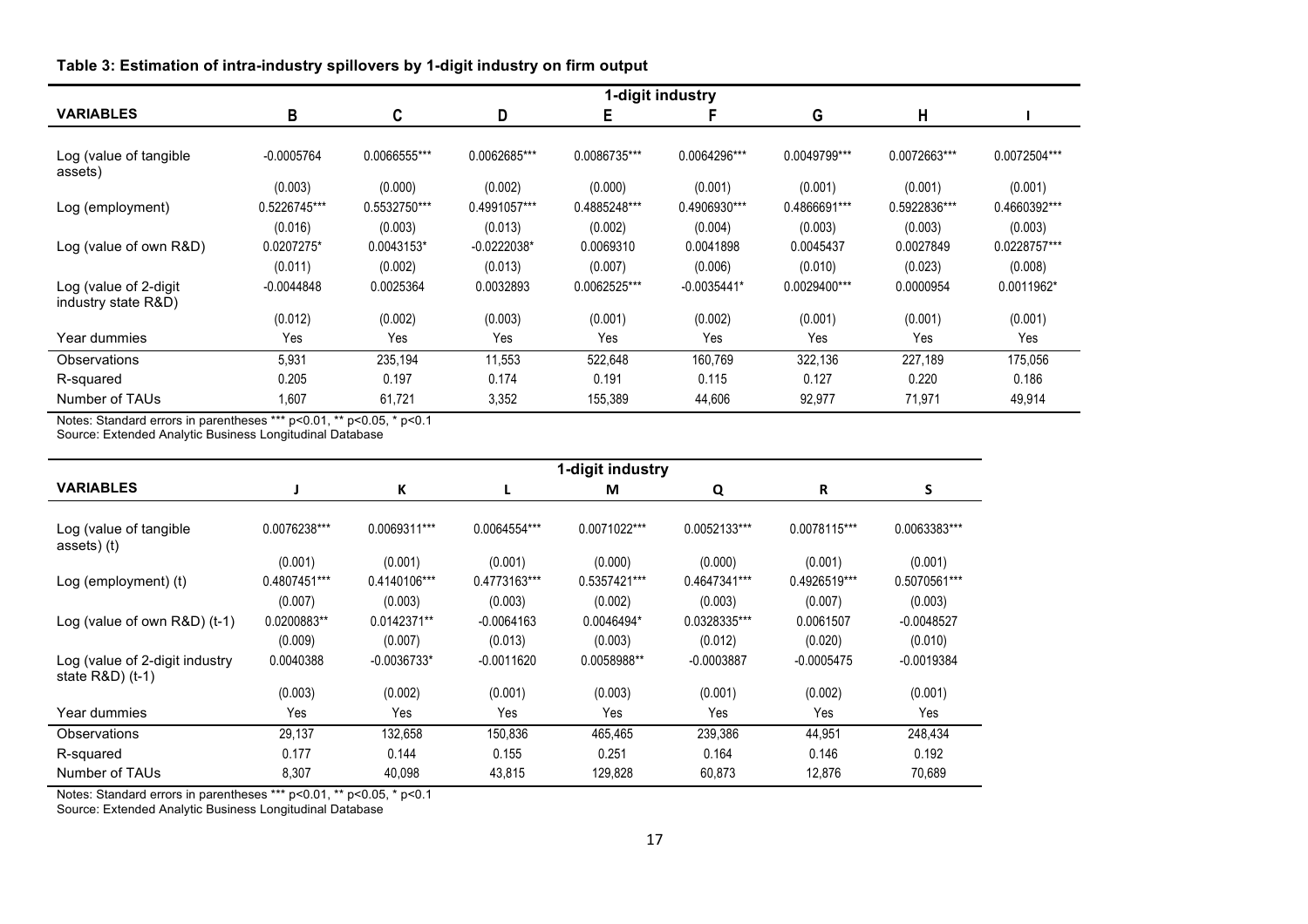**Table 3: Estimation of intra-industry spillovers by 1-digit industry on firm output**

|                                              | 1-digit industry |              |               |              |               |              |              |              |
|----------------------------------------------|------------------|--------------|---------------|--------------|---------------|--------------|--------------|--------------|
| <b>VARIABLES</b>                             | B                | C            | D             | Е            |               | G            | H            |              |
| Log (value of tangible<br>assets)            | $-0.0005764$     | 0.0066555*** | 0.0062685***  | 0.0086735*** | 0.0064296***  | 0.0049799*** | 0.0072663*** | 0.0072504*** |
|                                              | (0.003)          | (0.000)      | (0.002)       | (0.000)      | (0.001)       | (0.001)      | (0.001)      | (0.001)      |
| Log (employment)                             | 0.5226745***     | 0.5532750*** | 0.4991057***  | 0.4885248*** | 0.4906930***  | 0.4866691*** | 0.5922836*** | 0.4660392*** |
|                                              | (0.016)          | (0.003)      | (0.013)       | (0.002)      | (0.004)       | (0.003)      | (0.003)      | (0.003)      |
| Log (value of own R&D)                       | 0.0207275*       | 0.0043153*   | $-0.0222038*$ | 0.0069310    | 0.0041898     | 0.0045437    | 0.0027849    | 0.0228757*** |
|                                              | (0.011)          | (0.002)      | (0.013)       | (0.007)      | (0.006)       | (0.010)      | (0.023)      | (0.008)      |
| Log (value of 2-digit<br>industry state R&D) | $-0.0044848$     | 0.0025364    | 0.0032893     | 0.0062525*** | $-0.0035441*$ | 0.0029400*** | 0.0000954    | 0.0011962*   |
|                                              | (0.012)          | (0.002)      | (0.003)       | (0.001)      | (0.002)       | (0.001)      | (0.001)      | (0.001)      |
| Year dummies                                 | Yes              | Yes          | Yes           | Yes          | Yes           | Yes          | Yes          | Yes          |
| Observations                                 | 5,931            | 235,194      | 11,553        | 522,648      | 160,769       | 322,136      | 227,189      | 175,056      |
| R-squared                                    | 0.205            | 0.197        | 0.174         | 0.191        | 0.115         | 0.127        | 0.220        | 0.186        |
| Number of TAUs                               | 1,607            | 61,721       | 3,352         | 155,389      | 44,606        | 92,977       | 71,971       | 49,914       |

Notes: Standard errors in parentheses \*\*\* p<0.01, \*\* p<0.05, \* p<0.1

Source: Extended Analytic Business Longitudinal Database

|                                                           | 1-digit industry |               |              |              |              |              |              |
|-----------------------------------------------------------|------------------|---------------|--------------|--------------|--------------|--------------|--------------|
| <b>VARIABLES</b>                                          |                  | К             |              | М            | Q            | R            | S            |
| Log (value of tangible<br>assets) (t)                     | 0.0076238***     | 0.0069311***  | 0.0064554*** | 0.0071022*** | 0.0052133*** | 0.0078115*** | 0.0063383*** |
|                                                           | (0.001)          | (0.001)       | (0.001)      | (0.000)      | (0.000)      | (0.001)      | (0.001)      |
| Log (employment) (t)                                      | 0.4807451***     | 0.4140106***  | 0.4773163*** | 0.5357421*** | 0.4647341*** | 0.4926519*** | 0.5070561*** |
|                                                           | (0.007)          | (0.003)       | (0.003)      | (0.002)      | (0.003)      | (0.007)      | (0.003)      |
| Log (value of own R&D) (t-1)                              | 0.0200883**      | 0.0142371**   | $-0.0064163$ | 0.0046494*   | 0.0328335*** | 0.0061507    | $-0.0048527$ |
|                                                           | (0.009)          | (0.007)       | (0.013)      | (0.003)      | (0.012)      | (0.020)      | (0.010)      |
| Log (value of 2-digit industry<br>state $R&D$ ) ( $t-1$ ) | 0.0040388        | $-0.0036733*$ | $-0.0011620$ | 0.0058988**  | $-0.0003887$ | $-0.0005475$ | $-0.0019384$ |
|                                                           | (0.003)          | (0.002)       | (0.001)      | (0.003)      | (0.001)      | (0.002)      | (0.001)      |
| Year dummies                                              | Yes              | Yes           | Yes          | Yes          | Yes          | Yes          | Yes          |
| Observations                                              | 29,137           | 132,658       | 150,836      | 465,465      | 239,386      | 44,951       | 248,434      |
| R-squared                                                 | 0.177            | 0.144         | 0.155        | 0.251        | 0.164        | 0.146        | 0.192        |
| Number of TAUs                                            | 8,307            | 40,098        | 43,815       | 129,828      | 60,873       | 12,876       | 70,689       |

Notes: Standard errors in parentheses \*\*\* p<0.01, \*\* p<0.05, \* p<0.1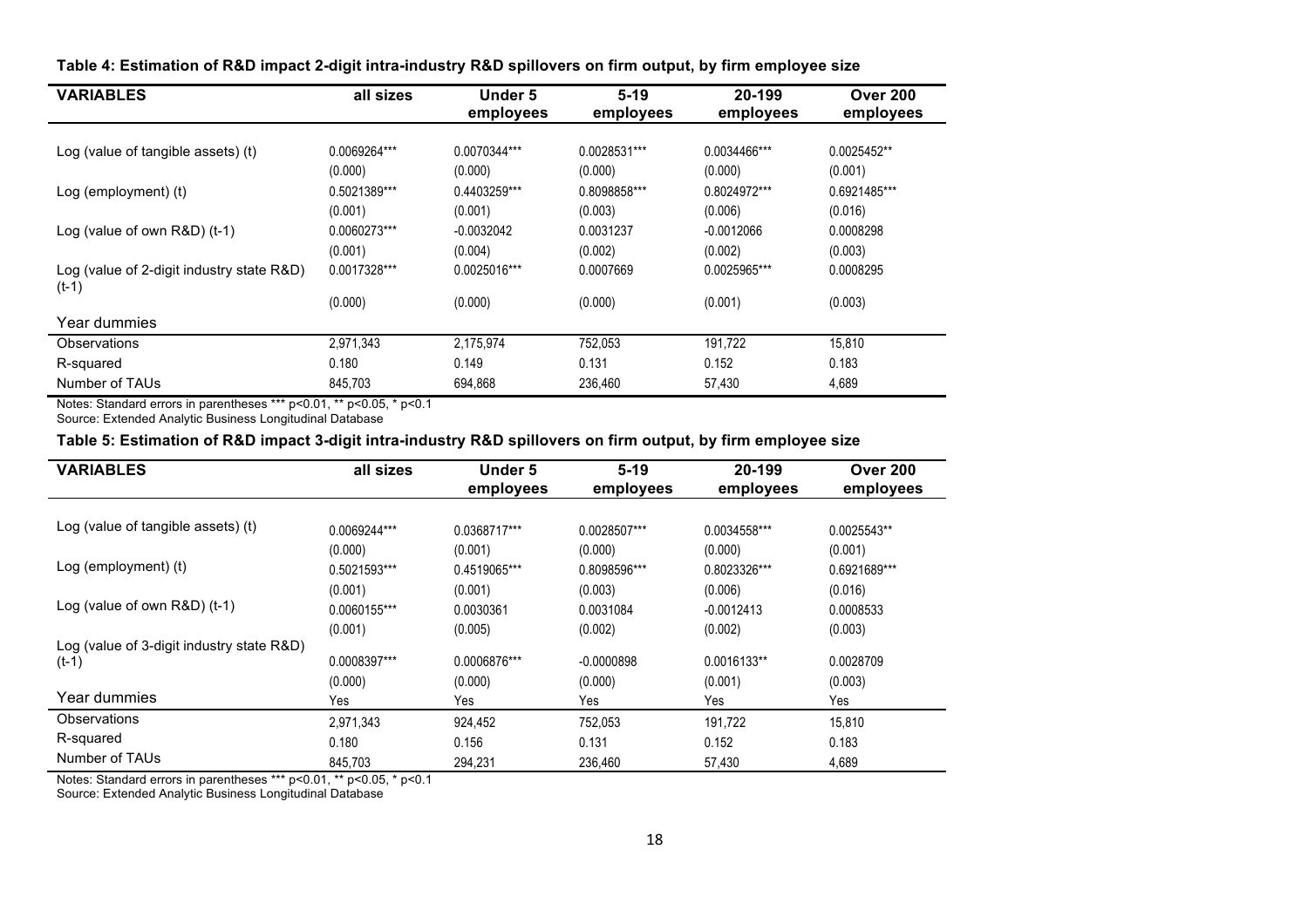| Table 4: Estimation of R&D impact 2-digit intra-industry R&D spillovers on firm output, by firm employee size |  |  |
|---------------------------------------------------------------------------------------------------------------|--|--|
|                                                                                                               |  |  |

| <b>VARIABLES</b>                                     | all sizes    | Under 5      | $5 - 19$     | 20-199       | <b>Over 200</b> |  |
|------------------------------------------------------|--------------|--------------|--------------|--------------|-----------------|--|
|                                                      |              | employees    | employees    | employees    | employees       |  |
| Log (value of tangible assets) (t)                   | 0.0069264*** | 0.0070344*** | 0.0028531*** | 0.0034466*** | 0.0025452**     |  |
|                                                      | (0.000)      | (0.000)      | (0.000)      | (0.000)      | (0.001)         |  |
| Log (employment) (t)                                 | 0.5021389*** | 0.4403259*** | 0.8098858*** | 0.8024972*** | 0.6921485***    |  |
|                                                      | (0.001)      | (0.001)      | (0.003)      | (0.006)      | (0.016)         |  |
| Log (value of own $R&D$ ) ( $t-1$ )                  | 0.0060273*** | $-0.0032042$ | 0.0031237    | $-0.0012066$ | 0.0008298       |  |
|                                                      | (0.001)      | (0.004)      | (0.002)      | (0.002)      | (0.003)         |  |
| Log (value of 2-digit industry state R&D)<br>$(t-1)$ | 0.0017328*** | 0.0025016*** | 0.0007669    | 0.0025965*** | 0.0008295       |  |
|                                                      | (0.000)      | (0.000)      | (0.000)      | (0.001)      | (0.003)         |  |
| Year dummies                                         |              |              |              |              |                 |  |
| Observations                                         | 2,971,343    | 2,175,974    | 752,053      | 191,722      | 15,810          |  |
| R-squared                                            | 0.180        | 0.149        | 0.131        | 0.152        | 0.183           |  |
| Number of TAUs                                       | 845.703      | 694,868      | 236.460      | 57,430       | 4,689           |  |

Source: Extended Analytic Business Longitudinal Database

#### **Table 5: Estimation of R&D impact 3-digit intra-industry R&D spillovers on firm output, by firm employee size**

| <b>VARIABLES</b>                          | all sizes    | Under 5      | $5 - 19$     | 20-199       | <b>Over 200</b> |
|-------------------------------------------|--------------|--------------|--------------|--------------|-----------------|
|                                           |              | employees    | employees    | employees    | employees       |
| Log (value of tangible assets) (t)        | 0.0069244*** | 0.0368717*** | 0.0028507*** | 0.0034558*** | 0.0025543**     |
|                                           | (0.000)      | (0.001)      | (0.000)      | (0.000)      | (0.001)         |
| Log (employment) (t)                      | 0.5021593*** | 0.4519065*** | 0.8098596*** | 0.8023326*** | 0.6921689***    |
|                                           | (0.001)      | (0.001)      | (0.003)      | (0.006)      | (0.016)         |
| Log (value of own $R&D$ ) ( $t-1$ )       | 0.0060155*** | 0.0030361    | 0.0031084    | $-0.0012413$ | 0.0008533       |
|                                           | (0.001)      | (0.005)      | (0.002)      | (0.002)      | (0.003)         |
| Log (value of 3-digit industry state R&D) |              |              |              |              |                 |
| $(t-1)$                                   | 0.0008397*** | 0.0006876*** | $-0.0000898$ | 0.0016133**  | 0.0028709       |
|                                           | (0.000)      | (0.000)      | (0.000)      | (0.001)      | (0.003)         |
| Year dummies                              | Yes          | Yes          | Yes          | Yes          | Yes             |
| Observations                              | 2,971,343    | 924,452      | 752,053      | 191,722      | 15,810          |
| R-squared                                 | 0.180        | 0.156        | 0.131        | 0.152        | 0.183           |
| Number of TAUs                            | 845,703      | 294,231      | 236,460      | 57,430       | 4,689           |

Notes: Standard errors in parentheses \*\*\* p<0.01, \*\* p<0.05, \* p<0.1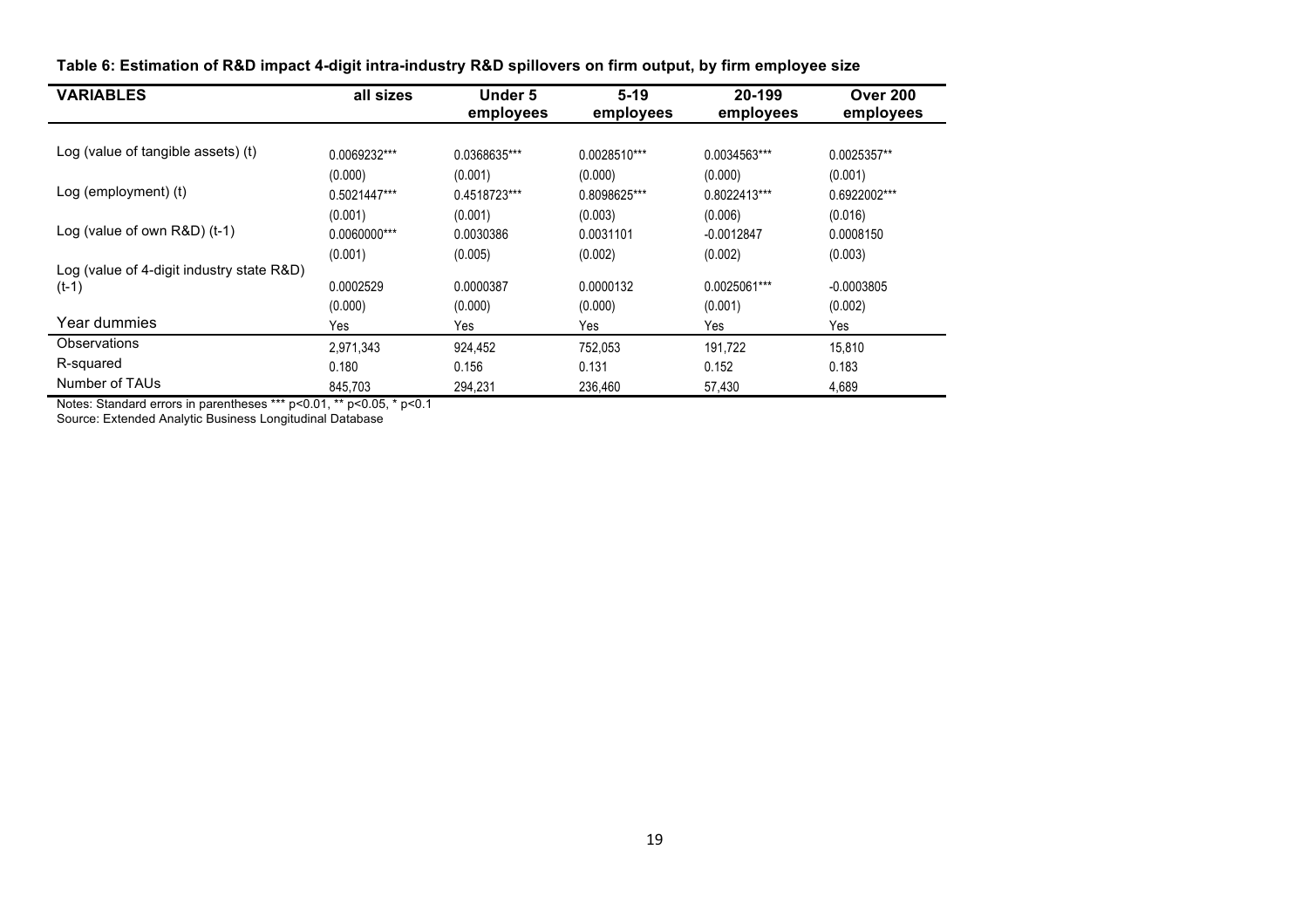| <b>VARIABLES</b>                          | all sizes               | Under 5                 | $5-19$                  | 20-199                  | <b>Over 200</b>         |  |
|-------------------------------------------|-------------------------|-------------------------|-------------------------|-------------------------|-------------------------|--|
|                                           |                         | employees               | employees               | employees               | employees               |  |
| Log (value of tangible assets) (t)        | 0.0069232***            | 0.0368635***            | 0.0028510***            | 0.0034563***            | 0.0025357**             |  |
| Log (employment) (t)                      | (0.000)<br>0.5021447*** | (0.001)<br>0.4518723*** | (0.000)<br>0.8098625*** | (0.000)<br>0.8022413*** | (0.001)<br>0.6922002*** |  |
| Log (value of own R&D) (t-1)              | (0.001)<br>0.0060000*** | (0.001)<br>0.0030386    | (0.003)<br>0.0031101    | (0.006)<br>$-0.0012847$ | (0.016)<br>0.0008150    |  |
| Log (value of 4-digit industry state R&D) | (0.001)                 | (0.005)                 | (0.002)                 | (0.002)                 | (0.003)                 |  |
| $(t-1)$                                   | 0.0002529<br>(0.000)    | 0.0000387<br>(0.000)    | 0.0000132<br>(0.000)    | 0.0025061***<br>(0.001) | $-0.0003805$<br>(0.002) |  |
| Year dummies                              | Yes                     | Yes                     | Yes                     | Yes                     | Yes                     |  |
| Observations                              | 2,971,343               | 924,452                 | 752,053                 | 191,722                 | 15,810                  |  |
| R-squared                                 | 0.180                   | 0.156                   | 0.131                   | 0.152                   | 0.183                   |  |
| Number of TAUs                            | 845,703                 | 294,231                 | 236,460                 | 57,430                  | 4,689                   |  |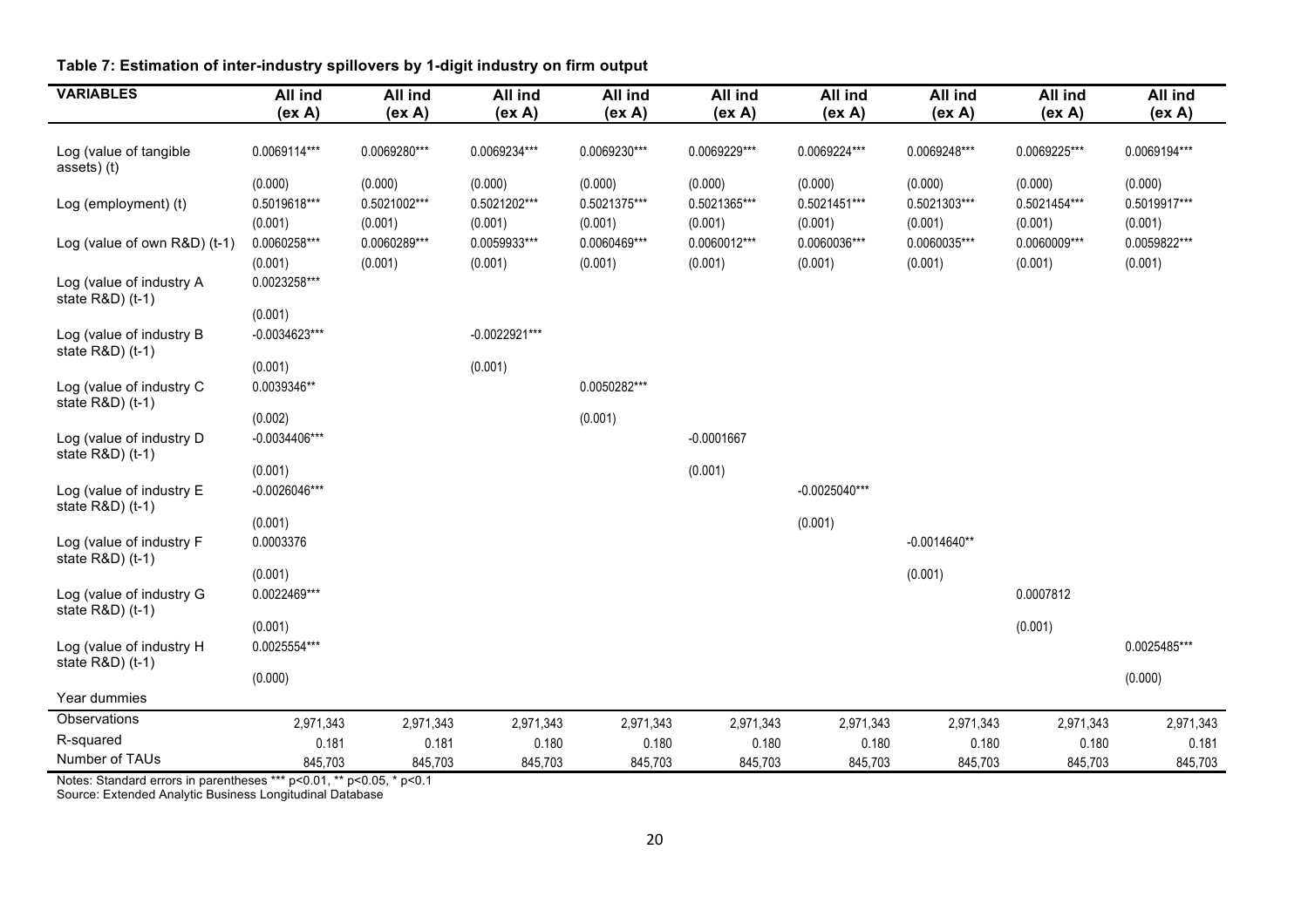| <b>VARIABLES</b>                             | All ind<br>(ex A) | <b>All ind</b><br>(ex A) | All ind<br>(ex A) | <b>All ind</b><br>(ex A) | All ind<br>(ex A) | All ind<br>(ex A) | <b>All ind</b><br>(ex A) | All ind<br>(ex A) | All ind<br>(ex A) |
|----------------------------------------------|-------------------|--------------------------|-------------------|--------------------------|-------------------|-------------------|--------------------------|-------------------|-------------------|
| Log (value of tangible<br>assets) (t)        | 0.0069114***      | 0.0069280***             | 0.0069234***      | 0.0069230***             | 0.0069229***      | 0.0069224***      | 0.0069248***             | 0.0069225***      | 0.0069194***      |
|                                              | (0.000)           | (0.000)                  | (0.000)           | (0.000)                  | (0.000)           | (0.000)           | (0.000)                  | (0.000)           | (0.000)           |
| Log (employment) (t)                         | 0.5019618***      | 0.5021002***             | 0.5021202***      | 0.5021375***             | 0.5021365***      | 0.5021451***      | 0.5021303***             | 0.5021454***      | 0.5019917***      |
|                                              | (0.001)           | (0.001)                  | (0.001)           | (0.001)                  | (0.001)           | (0.001)           | (0.001)                  | (0.001)           | (0.001)           |
| Log (value of own R&D) (t-1)                 | 0.0060258***      | 0.0060289***             | 0.0059933***      | 0.0060469***             | 0.0060012***      | 0.0060036***      | 0.0060035***             | 0.0060009***      | 0.0059822***      |
|                                              | (0.001)           | (0.001)                  | (0.001)           | (0.001)                  | (0.001)           | (0.001)           | (0.001)                  | (0.001)           | (0.001)           |
| Log (value of industry A<br>state R&D) (t-1) | 0.0023258***      |                          |                   |                          |                   |                   |                          |                   |                   |
|                                              | (0.001)           |                          |                   |                          |                   |                   |                          |                   |                   |
| Log (value of industry B<br>state R&D) (t-1) | $-0.0034623***$   |                          | $-0.0022921***$   |                          |                   |                   |                          |                   |                   |
|                                              | (0.001)           |                          | (0.001)           |                          |                   |                   |                          |                   |                   |
| Log (value of industry C<br>state R&D) (t-1) | 0.0039346**       |                          |                   | 0.0050282***             |                   |                   |                          |                   |                   |
|                                              | (0.002)           |                          |                   | (0.001)                  |                   |                   |                          |                   |                   |
| Log (value of industry D<br>state R&D) (t-1) | $-0.0034406***$   |                          |                   |                          | $-0.0001667$      |                   |                          |                   |                   |
|                                              | (0.001)           |                          |                   |                          | (0.001)           |                   |                          |                   |                   |
| Log (value of industry E<br>state R&D) (t-1) | $-0.0026046***$   |                          |                   |                          |                   | $-0.0025040***$   |                          |                   |                   |
|                                              | (0.001)           |                          |                   |                          |                   | (0.001)           |                          |                   |                   |
| Log (value of industry F<br>state R&D) (t-1) | 0.0003376         |                          |                   |                          |                   |                   | $-0.0014640**$           |                   |                   |
|                                              | (0.001)           |                          |                   |                          |                   |                   | (0.001)                  |                   |                   |
| Log (value of industry G<br>state R&D) (t-1) | 0.0022469***      |                          |                   |                          |                   |                   |                          | 0.0007812         |                   |
|                                              | (0.001)           |                          |                   |                          |                   |                   |                          | (0.001)           |                   |
| Log (value of industry H<br>state R&D) (t-1) | 0.0025554***      |                          |                   |                          |                   |                   |                          |                   | 0.0025485***      |
|                                              | (0.000)           |                          |                   |                          |                   |                   |                          |                   | (0.000)           |
| Year dummies                                 |                   |                          |                   |                          |                   |                   |                          |                   |                   |
| Observations                                 | 2,971,343         | 2,971,343                | 2,971,343         | 2,971,343                | 2,971,343         | 2,971,343         | 2,971,343                | 2,971,343         | 2,971,343         |
| R-squared                                    | 0.181             | 0.181                    | 0.180             | 0.180                    | 0.180             | 0.180             | 0.180                    | 0.180             | 0.181             |
| Number of TAUs                               | 845,703           | 845,703                  | 845,703           | 845,703                  | 845,703           | 845,703           | 845,703                  | 845,703           | 845,703           |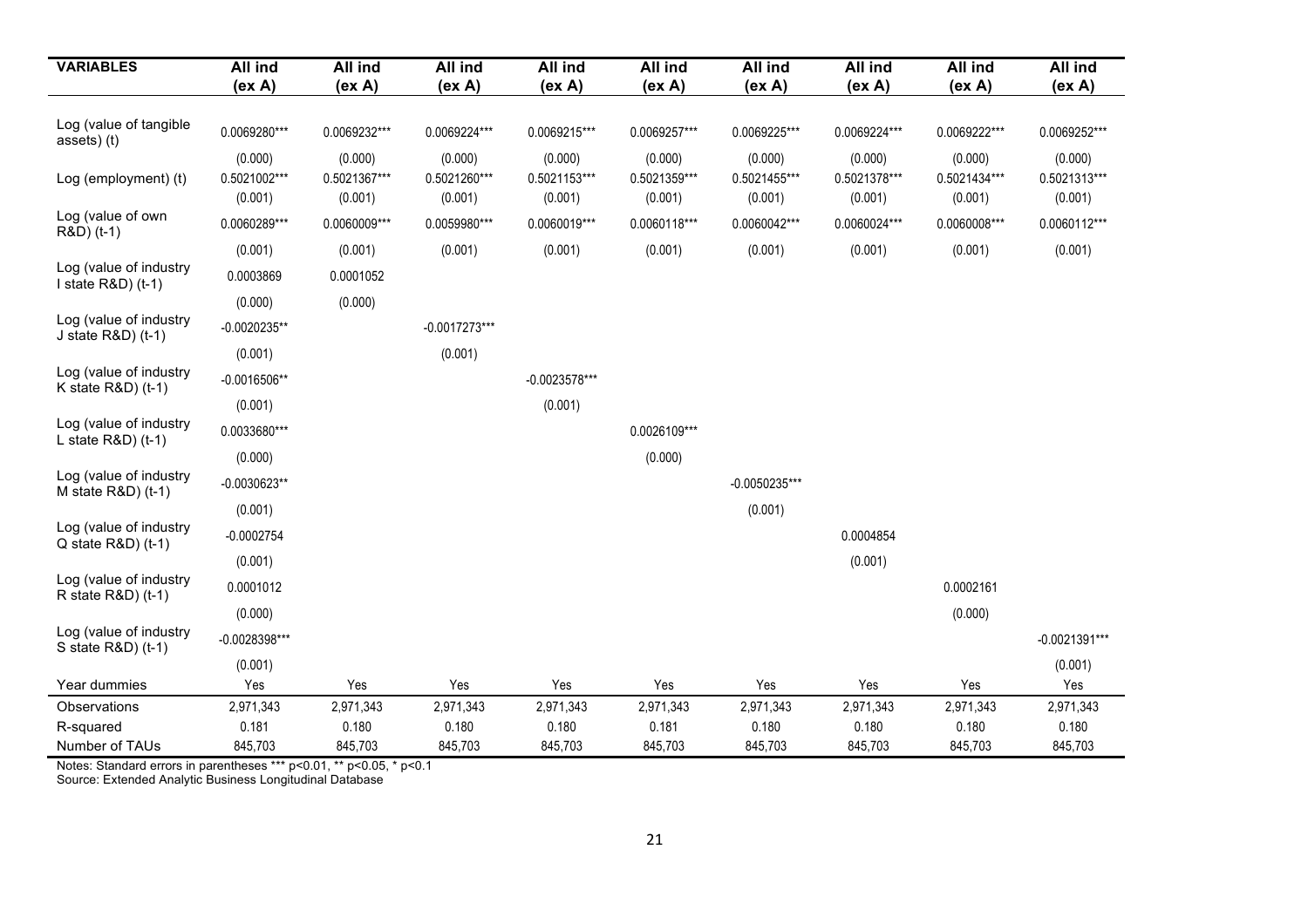| <b>VARIABLES</b>                                    | All ind<br>(ex A) | All ind<br>(ex A) | All ind<br>(ex A) | All ind<br>(ex A) | All ind<br>(ex A) | All ind<br>(ex A) | All ind<br>(ex A) | All ind<br>(ex A) | All ind<br>(ex A) |
|-----------------------------------------------------|-------------------|-------------------|-------------------|-------------------|-------------------|-------------------|-------------------|-------------------|-------------------|
| Log (value of tangible                              |                   |                   |                   |                   |                   |                   |                   |                   |                   |
| assets) (t)                                         | 0.0069280***      | 0.0069232***      | 0.0069224***      | 0.0069215***      | 0.0069257***      | 0.0069225***      | 0.0069224***      | 0.0069222***      | 0.0069252***      |
|                                                     | (0.000)           | (0.000)           | (0.000)           | (0.000)           | (0.000)           | (0.000)           | (0.000)           | (0.000)           | (0.000)           |
| Log (employment) (t)                                | 0.5021002***      | 0.5021367***      | 0.5021260***      | 0.5021153***      | 0.5021359***      | 0.5021455***      | 0.5021378***      | 0.5021434***      | 0.5021313***      |
| Log (value of own<br>R&D) (t-1)                     | (0.001)           | (0.001)           | (0.001)           | (0.001)           | (0.001)           | (0.001)           | (0.001)           | (0.001)           | (0.001)           |
|                                                     | 0.0060289***      | 0.0060009***      | 0.0059980***      | 0.0060019***      | 0.0060118***      | 0.0060042***      | 0.0060024***      | 0.0060008***      | 0.0060112***      |
|                                                     | (0.001)           | (0.001)           | (0.001)           | (0.001)           | (0.001)           | (0.001)           | (0.001)           | (0.001)           | (0.001)           |
| Log (value of industry<br>I state $R&D$ ) ( $t-1$ ) | 0.0003869         | 0.0001052         |                   |                   |                   |                   |                   |                   |                   |
|                                                     | (0.000)           | (0.000)           |                   |                   |                   |                   |                   |                   |                   |
| Log (value of industry<br>J state $R&D$ ) ( $t-1$ ) | $-0.0020235**$    |                   | $-0.0017273***$   |                   |                   |                   |                   |                   |                   |
|                                                     | (0.001)           |                   | (0.001)           |                   |                   |                   |                   |                   |                   |
| Log (value of industry<br>K state $R&D$ ) (t-1)     | $-0.0016506**$    |                   |                   | $-0.0023578***$   |                   |                   |                   |                   |                   |
|                                                     | (0.001)           |                   |                   | (0.001)           |                   |                   |                   |                   |                   |
| Log (value of industry<br>L state $R&D$ ) ( $t-1$ ) | 0.0033680***      |                   |                   |                   | 0.0026109***      |                   |                   |                   |                   |
|                                                     | (0.000)           |                   |                   |                   | (0.000)           |                   |                   |                   |                   |
| Log (value of industry<br>M state $R&D$ ) (t-1)     | $-0.0030623**$    |                   |                   |                   |                   | $-0.0050235***$   |                   |                   |                   |
|                                                     | (0.001)           |                   |                   |                   |                   | (0.001)           |                   |                   |                   |
| Log (value of industry<br>$Q$ state $R&D$ ) (t-1)   | $-0.0002754$      |                   |                   |                   |                   |                   | 0.0004854         |                   |                   |
|                                                     | (0.001)           |                   |                   |                   |                   |                   | (0.001)           |                   |                   |
| Log (value of industry<br>R state R&D) (t-1)        | 0.0001012         |                   |                   |                   |                   |                   |                   | 0.0002161         |                   |
|                                                     | (0.000)           |                   |                   |                   |                   |                   |                   | (0.000)           |                   |
| Log (value of industry<br>S state R&D) (t-1)        | $-0.0028398***$   |                   |                   |                   |                   |                   |                   |                   | $-0.0021391***$   |
|                                                     | (0.001)           |                   |                   |                   |                   |                   |                   |                   | (0.001)           |
| Year dummies                                        | Yes               | Yes               | Yes               | Yes               | Yes               | Yes               | Yes               | Yes               | Yes               |
| Observations                                        | 2,971,343         | 2,971,343         | 2,971,343         | 2,971,343         | 2,971,343         | 2,971,343         | 2,971,343         | 2,971,343         | 2,971,343         |
| R-squared                                           | 0.181             | 0.180             | 0.180             | 0.180             | 0.181             | 0.180             | 0.180             | 0.180             | 0.180             |
| Number of TAUs                                      | 845,703           | 845,703           | 845,703           | 845,703           | 845,703           | 845,703           | 845,703           | 845,703           | 845,703           |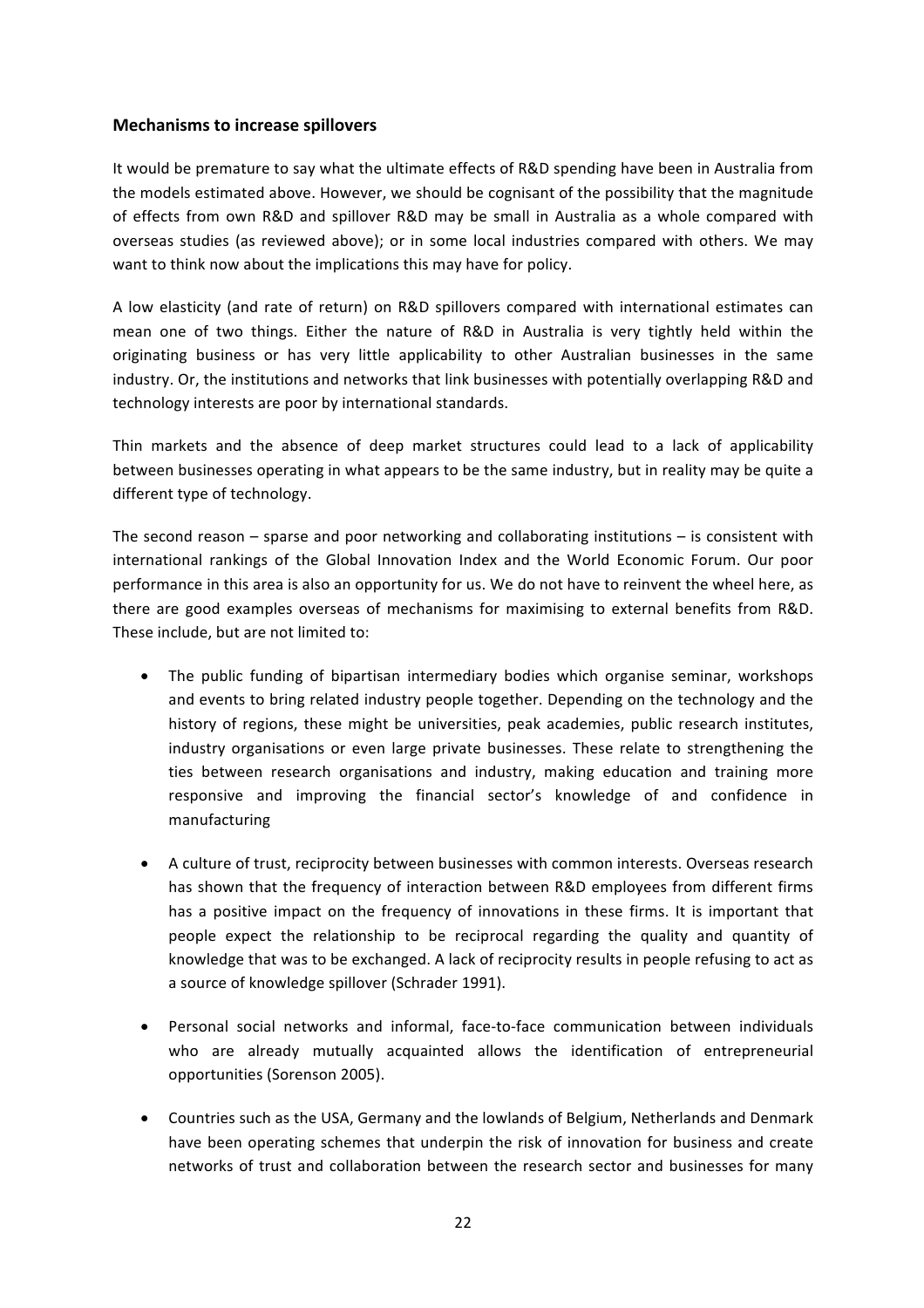#### **Mechanisms to increase spillovers**

It would be premature to say what the ultimate effects of R&D spending have been in Australia from the models estimated above. However, we should be cognisant of the possibility that the magnitude of effects from own R&D and spillover R&D may be small in Australia as a whole compared with overseas studies (as reviewed above); or in some local industries compared with others. We may want to think now about the implications this may have for policy.

A low elasticity (and rate of return) on R&D spillovers compared with international estimates can mean one of two things. Either the nature of R&D in Australia is very tightly held within the originating business or has very little applicability to other Australian businesses in the same industry. Or, the institutions and networks that link businesses with potentially overlapping R&D and technology interests are poor by international standards.

Thin markets and the absence of deep market structures could lead to a lack of applicability between businesses operating in what appears to be the same industry, but in reality may be quite a different type of technology.

The second reason – sparse and poor networking and collaborating institutions – is consistent with international rankings of the Global Innovation Index and the World Economic Forum. Our poor performance in this area is also an opportunity for us. We do not have to reinvent the wheel here, as there are good examples overseas of mechanisms for maximising to external benefits from R&D. These include, but are not limited to:

- The public funding of bipartisan intermediary bodies which organise seminar, workshops and events to bring related industry people together. Depending on the technology and the history of regions, these might be universities, peak academies, public research institutes, industry organisations or even large private businesses. These relate to strengthening the ties between research organisations and industry, making education and training more responsive and improving the financial sector's knowledge of and confidence in manufacturing
- A culture of trust, reciprocity between businesses with common interests. Overseas research has shown that the frequency of interaction between R&D employees from different firms has a positive impact on the frequency of innovations in these firms. It is important that people expect the relationship to be reciprocal regarding the quality and quantity of knowledge that was to be exchanged. A lack of reciprocity results in people refusing to act as a source of knowledge spillover (Schrader 1991).
- Personal social networks and informal, face-to-face communication between individuals who are already mutually acquainted allows the identification of entrepreneurial opportunities (Sorenson 2005).
- Countries such as the USA, Germany and the lowlands of Belgium, Netherlands and Denmark have been operating schemes that underpin the risk of innovation for business and create networks of trust and collaboration between the research sector and businesses for many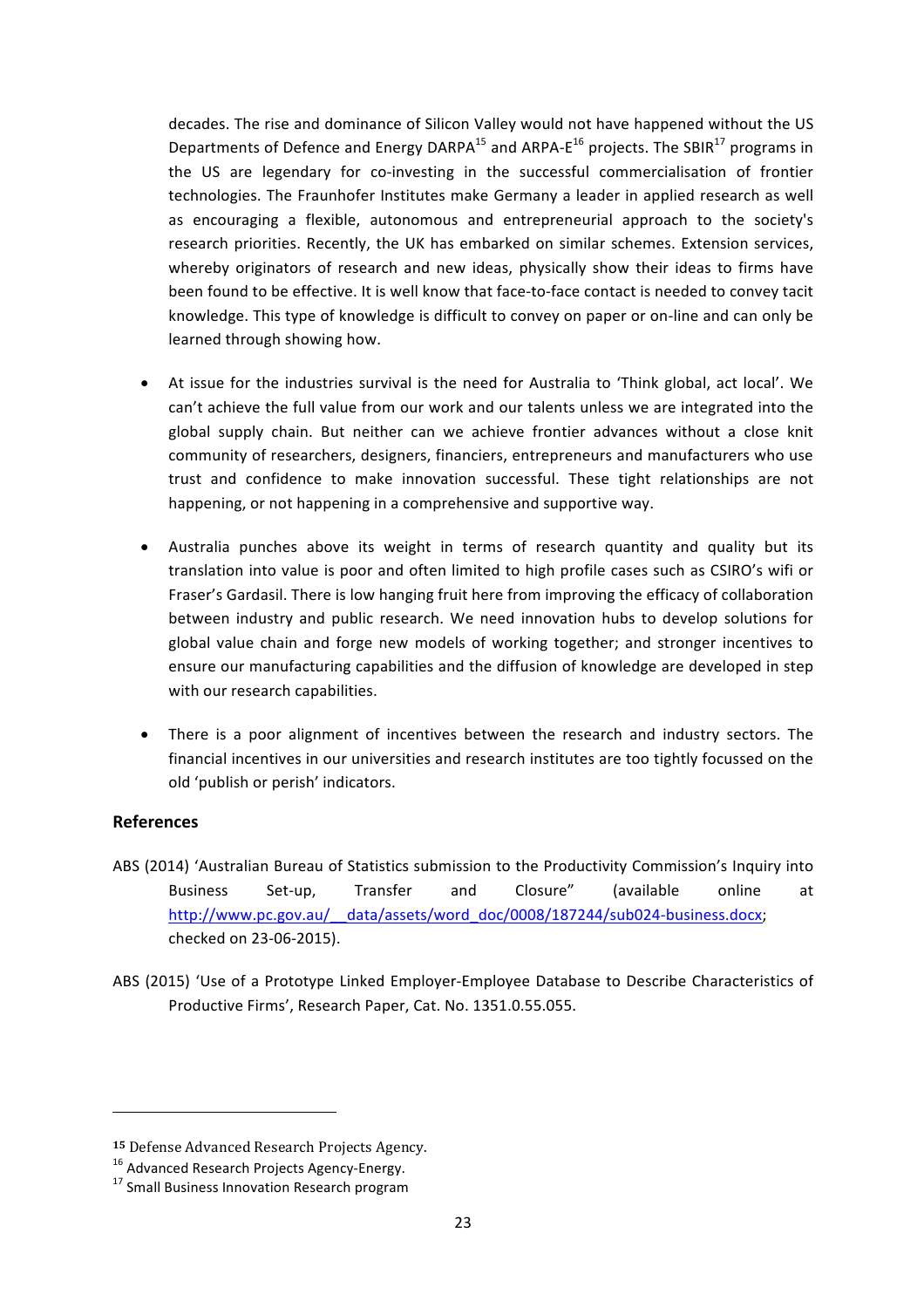decades. The rise and dominance of Silicon Valley would not have happened without the US Departments of Defence and Energy DARPA<sup>15</sup> and ARPA-E<sup>16</sup> projects. The SBIR<sup>17</sup> programs in the US are legendary for co-investing in the successful commercialisation of frontier technologies. The Fraunhofer Institutes make Germany a leader in applied research as well as encouraging a flexible, autonomous and entrepreneurial approach to the society's research priorities. Recently, the UK has embarked on similar schemes. Extension services, whereby originators of research and new ideas, physically show their ideas to firms have been found to be effective. It is well know that face-to-face contact is needed to convey tacit knowledge. This type of knowledge is difficult to convey on paper or on-line and can only be learned through showing how.

- At issue for the industries survival is the need for Australia to 'Think global, act local'. We can't achieve the full value from our work and our talents unless we are integrated into the global supply chain. But neither can we achieve frontier advances without a close knit community of researchers, designers, financiers, entrepreneurs and manufacturers who use trust and confidence to make innovation successful. These tight relationships are not happening, or not happening in a comprehensive and supportive way.
- Australia punches above its weight in terms of research quantity and quality but its translation into value is poor and often limited to high profile cases such as CSIRO's wifi or Fraser's Gardasil. There is low hanging fruit here from improving the efficacy of collaboration between industry and public research. We need innovation hubs to develop solutions for global value chain and forge new models of working together; and stronger incentives to ensure our manufacturing capabilities and the diffusion of knowledge are developed in step with our research capabilities.
- There is a poor alignment of incentives between the research and industry sectors. The financial incentives in our universities and research institutes are too tightly focussed on the old 'publish or perish' indicators.

#### **References**

- ABS (2014) 'Australian Bureau of Statistics submission to the Productivity Commission's Inquiry into Business Set-up, Transfer and Closure" (available online at http://www.pc.gov.au/ data/assets/word\_doc/0008/187244/sub024-business.docx; checked on 23-06-2015).
- ABS (2015) 'Use of a Prototype Linked Employer-Employee Database to Describe Characteristics of Productive Firms', Research Paper, Cat. No. 1351.0.55.055.

 

<sup>&</sup>lt;sup>15</sup> Defense Advanced Research Projects Agency.

 $16$  Advanced Research Projects Agency-Energy.<br> $17$  Small Business Innovation Research program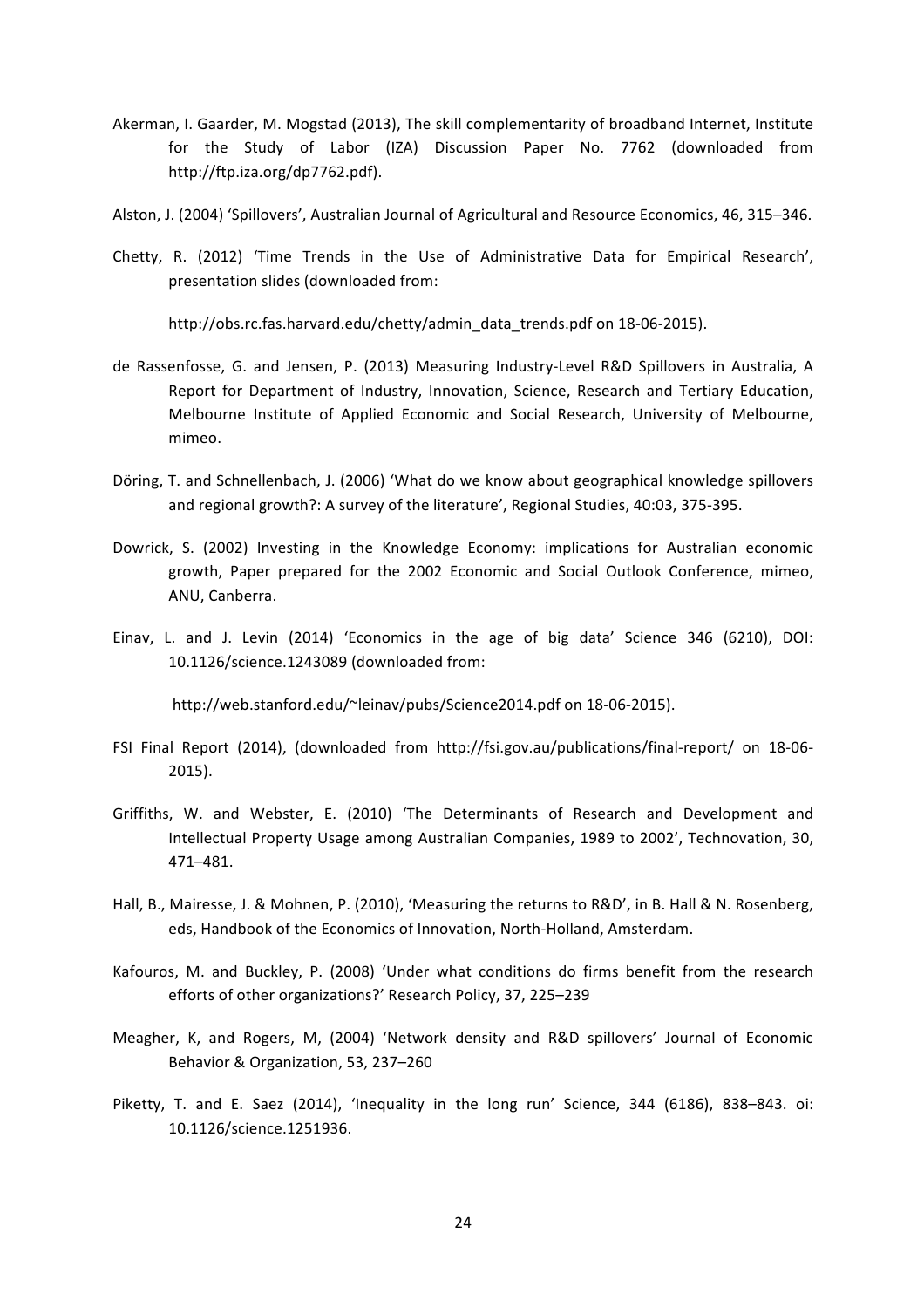- Akerman, I. Gaarder, M. Mogstad (2013), The skill complementarity of broadband Internet, Institute for the Study of Labor (IZA) Discussion Paper No. 7762 (downloaded from http://ftp.iza.org/dp7762.pdf).
- Alston, J. (2004) 'Spillovers', Australian Journal of Agricultural and Resource Economics, 46, 315–346.
- Chetty, R. (2012) 'Time Trends in the Use of Administrative Data for Empirical Research', presentation slides (downloaded from:

http://obs.rc.fas.harvard.edu/chetty/admin\_data\_trends.pdf on 18-06-2015).

- de Rassenfosse, G. and Jensen, P. (2013) Measuring Industry-Level R&D Spillovers in Australia, A Report for Department of Industry, Innovation, Science, Research and Tertiary Education, Melbourne Institute of Applied Economic and Social Research, University of Melbourne, mimeo.
- Döring, T. and Schnellenbach, J. (2006) 'What do we know about geographical knowledge spillovers and regional growth?: A survey of the literature', Regional Studies, 40:03, 375-395.
- Dowrick, S. (2002) Investing in the Knowledge Economy: implications for Australian economic growth. Paper prepared for the 2002 Economic and Social Outlook Conference, mimeo, ANU, Canberra.
- Einav, L. and J. Levin (2014) 'Economics in the age of big data' Science 346 (6210), DOI: 10.1126/science.1243089 (downloaded from:

http://web.stanford.edu/~leinav/pubs/Science2014.pdf on 18-06-2015).

- FSI Final Report (2014), (downloaded from http://fsi.gov.au/publications/final-report/ on 18-06-2015).
- Griffiths, W. and Webster, E. (2010) 'The Determinants of Research and Development and Intellectual Property Usage among Australian Companies, 1989 to 2002', Technovation, 30, 471–481.
- Hall, B., Mairesse, J. & Mohnen, P. (2010), 'Measuring the returns to R&D', in B. Hall & N. Rosenberg, eds, Handbook of the Economics of Innovation, North-Holland, Amsterdam.
- Kafouros, M. and Buckley, P. (2008) 'Under what conditions do firms benefit from the research efforts of other organizations?' Research Policy, 37, 225-239
- Meagher, K, and Rogers, M, (2004) 'Network density and R&D spillovers' Journal of Economic Behavior & Organization, 53, 237-260
- Piketty, T. and E. Saez (2014), 'Inequality in the long run' Science, 344 (6186), 838–843. oi: 10.1126/science.1251936.